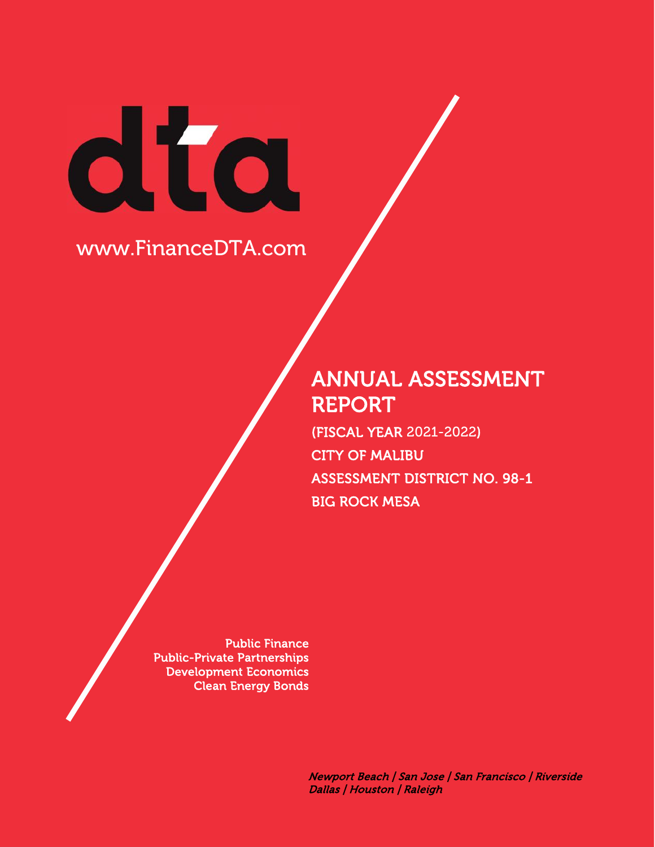# dta

# www.FinanceDTA.com

# **ANNUAL ASSESSMENT REPORT**

**(FISCAL YEAR** 2021-2022**) CITY OF MALIBU ASSESSMENT DISTRICT NO. 98-1 BIG ROCK MESA**

**Public Finance Public-Private Partnerships Development Economics Clean Energy Bonds**

> *Newport Beach | San Jose | San Francisco | Riverside Dallas | Houston | Raleigh*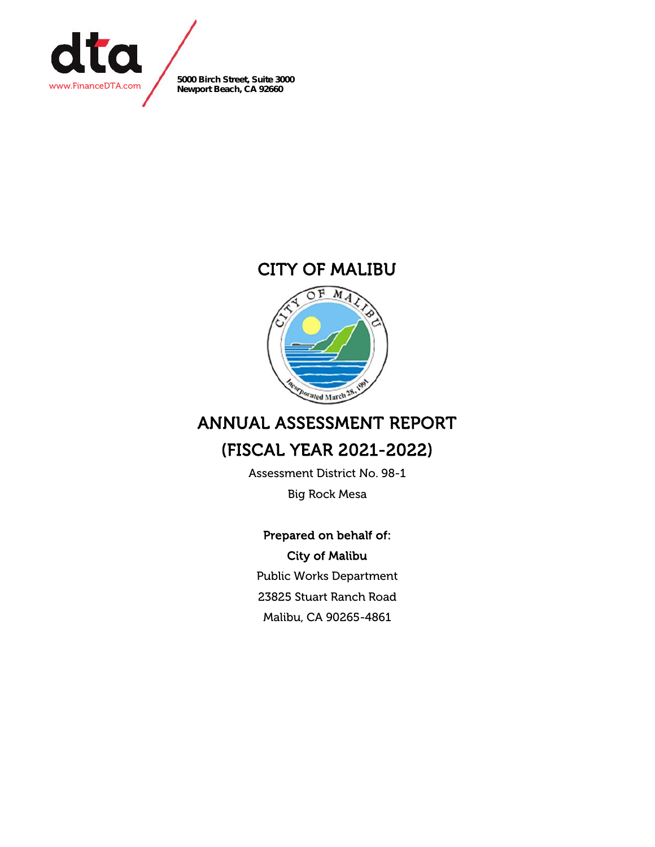

**5000 Birch Street, Suite 3000 Newport Beach, CA 92660**

### **CITY OF MALIBU**



# **ANNUAL ASSESSMENT REPORT**

## **(FISCAL YEAR 2021-2022)**

Assessment District No. 98-1 Big Rock Mesa

#### **Prepared on behalf of: City of Malibu**

Public Works Department 23825 Stuart Ranch Road Malibu, CA 90265-4861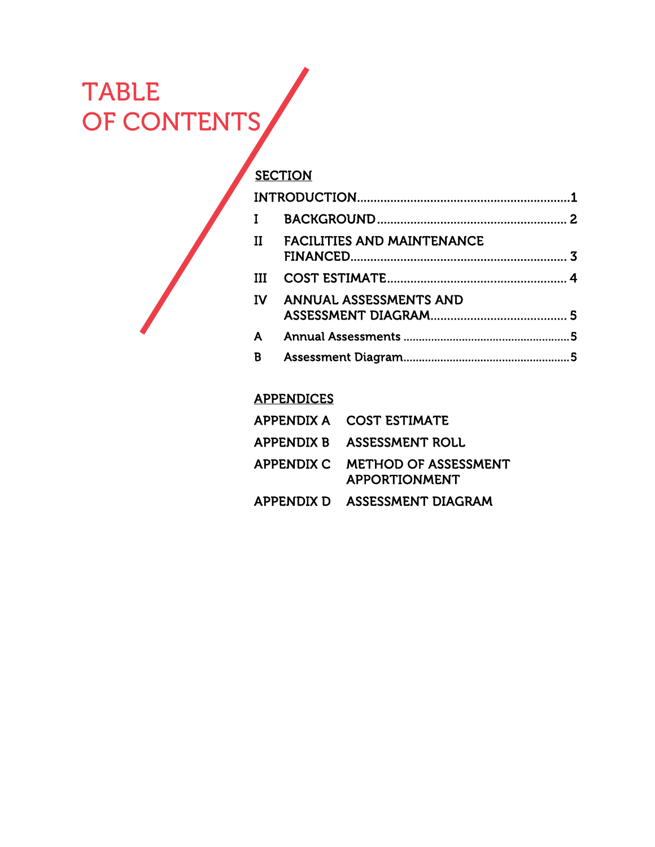# TABLE OF CONTENTS

| Π   | <b>FACILITIES AND MAINTENANCE</b> | 3 |
|-----|-----------------------------------|---|
| TTT |                                   |   |
| ΙV  | <b>ANNUAL ASSESSMENTS AND</b>     |   |
| A   |                                   | 5 |
| в   |                                   | 5 |

#### **APPENDICES**

| APPENDIX A COST ESTIMATE                                |
|---------------------------------------------------------|
| APPENDIX B ASSESSMENT ROLL                              |
| APPENDIX C METHOD OF ASSESSMENT<br><b>APPORTIONMENT</b> |
| APPENDIX D ASSESSMENT DIAGRAM                           |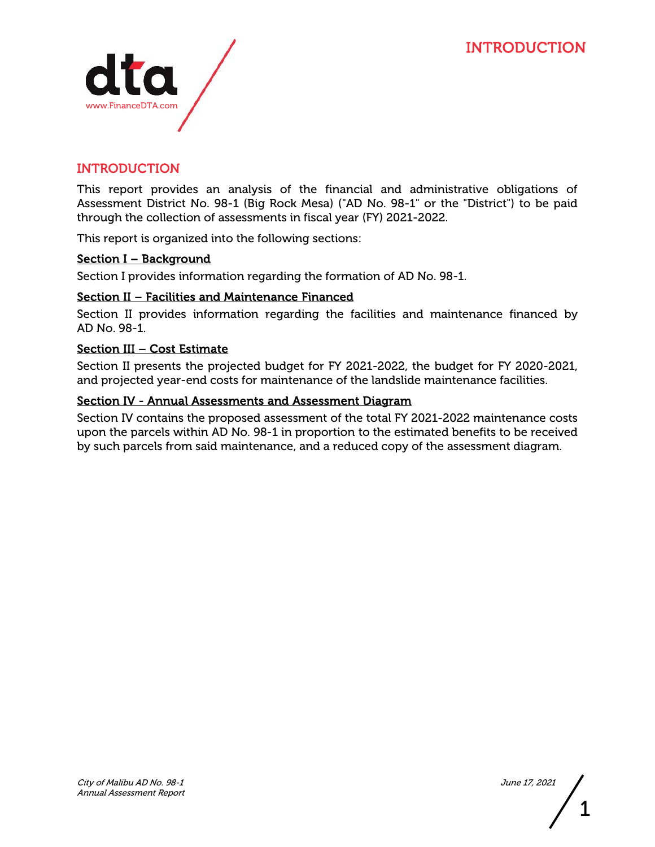

#### **INTRODUCTION**

This report provides an analysis of the financial and administrative obligations of Assessment District No. 98-1 (Big Rock Mesa) ("AD No. 98-1" or the "District") to be paid through the collection of assessments in fiscal year (FY) 2021-2022.

This report is organized into the following sections:

#### **Section I – Background**

Section I provides information regarding the formation of AD No. 98-1.

#### **Section II – Facilities and Maintenance Financed**

Section II provides information regarding the facilities and maintenance financed by AD No. 98-1.

#### **Section III – Cost Estimate**

Section II presents the projected budget for FY 2021-2022, the budget for FY 2020-2021, and projected year-end costs for maintenance of the landslide maintenance facilities.

#### **Section IV - Annual Assessments and Assessment Diagram**

Section IV contains the proposed assessment of the total FY 2021-2022 maintenance costs upon the parcels within AD No. 98-1 in proportion to the estimated benefits to be received by such parcels from said maintenance, and a reduced copy of the assessment diagram.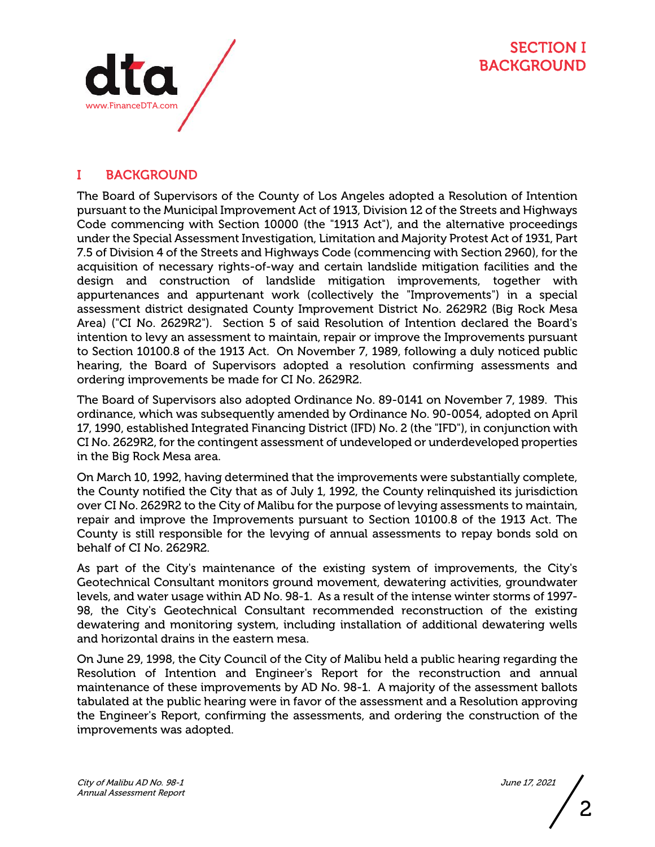



#### **I BACKGROUND**

The Board of Supervisors of the County of Los Angeles adopted a Resolution of Intention pursuant to the Municipal Improvement Act of 1913, Division 12 of the Streets and Highways Code commencing with Section 10000 (the "1913 Act"), and the alternative proceedings under the Special Assessment Investigation, Limitation and Majority Protest Act of 1931, Part 7.5 of Division 4 of the Streets and Highways Code (commencing with Section 2960), for the acquisition of necessary rights-of-way and certain landslide mitigation facilities and the design and construction of landslide mitigation improvements, together with appurtenances and appurtenant work (collectively the "Improvements") in a special assessment district designated County Improvement District No. 2629R2 (Big Rock Mesa Area) ("CI No. 2629R2"). Section 5 of said Resolution of Intention declared the Board's intention to levy an assessment to maintain, repair or improve the Improvements pursuant to Section 10100.8 of the 1913 Act. On November 7, 1989, following a duly noticed public hearing, the Board of Supervisors adopted a resolution confirming assessments and ordering improvements be made for CI No. 2629R2.

The Board of Supervisors also adopted Ordinance No. 89-0141 on November 7, 1989. This ordinance, which was subsequently amended by Ordinance No. 90-0054, adopted on April 17, 1990, established Integrated Financing District (IFD) No. 2 (the "IFD"), in conjunction with CI No. 2629R2, for the contingent assessment of undeveloped or underdeveloped properties in the Big Rock Mesa area.

On March 10, 1992, having determined that the improvements were substantially complete, the County notified the City that as of July 1, 1992, the County relinquished its jurisdiction over CI No. 2629R2 to the City of Malibu for the purpose of levying assessments to maintain, repair and improve the Improvements pursuant to Section 10100.8 of the 1913 Act. The County is still responsible for the levying of annual assessments to repay bonds sold on behalf of CI No. 2629R2.

As part of the City's maintenance of the existing system of improvements, the City's Geotechnical Consultant monitors ground movement, dewatering activities, groundwater levels, and water usage within AD No. 98-1. As a result of the intense winter storms of 1997- 98, the City's Geotechnical Consultant recommended reconstruction of the existing dewatering and monitoring system, including installation of additional dewatering wells and horizontal drains in the eastern mesa.

On June 29, 1998, the City Council of the City of Malibu held a public hearing regarding the Resolution of Intention and Engineer's Report for the reconstruction and annual maintenance of these improvements by AD No. 98-1. A majority of the assessment ballots tabulated at the public hearing were in favor of the assessment and a Resolution approving the Engineer's Report, confirming the assessments, and ordering the construction of the improvements was adopted.

2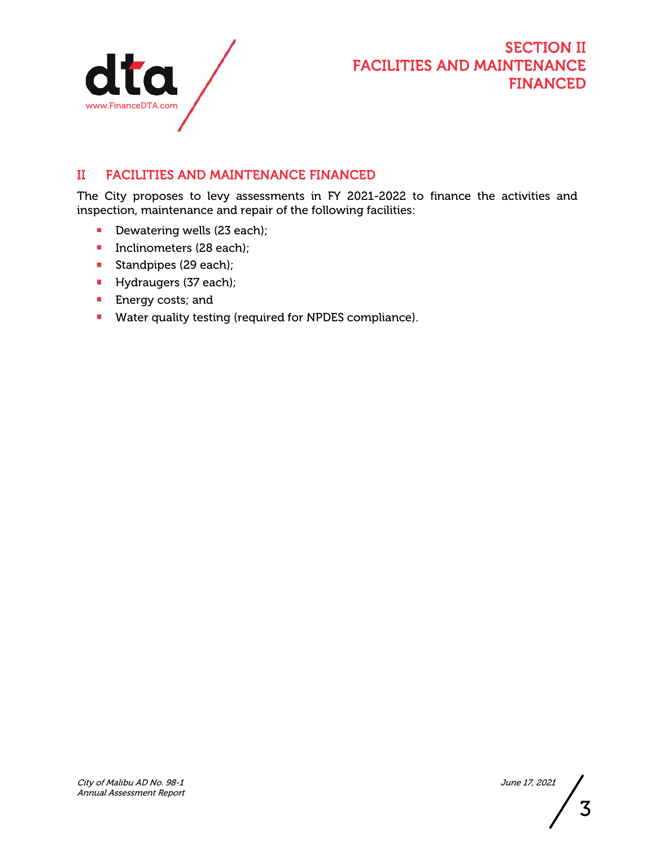

#### **SECTION II FACILITIES AND MAINTENANCE FINANCED**

#### **II FACILITIES AND MAINTENANCE FINANCED**

The City proposes to levy assessments in FY 2021-2022 to finance the activities and inspection, maintenance and repair of the following facilities:

- Dewatering wells (23 each);
- **Inclinometers (28 each);**
- Standpipes (29 each);
- Hydraugers (37 each);
- **Energy costs; and**
- **Water quality testing (required for NPDES compliance).**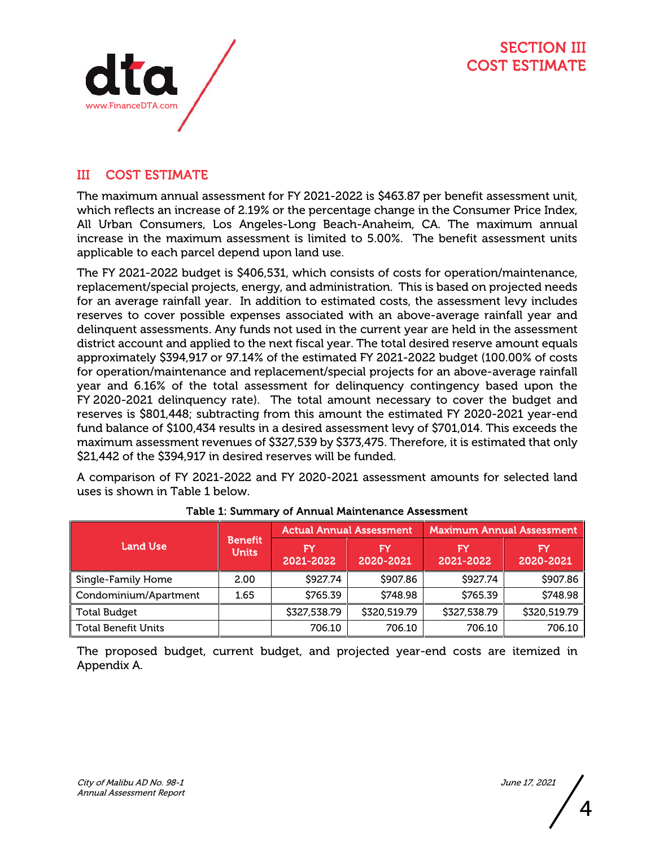

#### **III COST ESTIMATE**

The maximum annual assessment for FY 2021-2022 is \$463.87 per benefit assessment unit, which reflects an increase of 2.19% or the percentage change in the Consumer Price Index, All Urban Consumers, Los Angeles-Long Beach-Anaheim, CA. The maximum annual increase in the maximum assessment is limited to 5.00%. The benefit assessment units applicable to each parcel depend upon land use.

The FY 2021-2022 budget is \$406,531, which consists of costs for operation/maintenance, replacement/special projects, energy, and administration. This is based on projected needs for an average rainfall year. In addition to estimated costs, the assessment levy includes reserves to cover possible expenses associated with an above-average rainfall year and delinquent assessments. Any funds not used in the current year are held in the assessment district account and applied to the next fiscal year. The total desired reserve amount equals approximately \$394,917 or 97.14% of the estimated FY 2021-2022 budget (100.00% of costs for operation/maintenance and replacement/special projects for an above-average rainfall year and 6.16% of the total assessment for delinquency contingency based upon the FY 2020-2021 delinquency rate). The total amount necessary to cover the budget and reserves is \$801,448; subtracting from this amount the estimated FY 2020-2021 year-end fund balance of \$100,434 results in a desired assessment levy of \$701,014. This exceeds the maximum assessment revenues of \$327,539 by \$373,475. Therefore, it is estimated that only \$21,442 of the \$394,917 in desired reserves will be funded.

A comparison of FY 2021-2022 and FY 2020-2021 assessment amounts for selected land uses is shown in Table 1 below.

|                            |                                | <b>Actual Annual Assessment</b> |                 | <b>Maximum Annual Assessment</b> |                 |
|----------------------------|--------------------------------|---------------------------------|-----------------|----------------------------------|-----------------|
| Land Use                   | <b>Benefit</b><br><b>Units</b> | FY<br>2021-2022                 | FY<br>2020-2021 | FY<br>2021-2022                  | FY<br>2020-2021 |
| Single-Family Home         | 2.00                           | \$927.74                        | \$907.86        | \$927.74                         | \$907.86        |
| Condominium/Apartment      | 1.65                           | \$765.39                        | \$748.98        | \$765.39                         | \$748.98        |
| <b>Total Budget</b>        |                                | \$327,538.79                    | \$320,519.79    | \$327,538.79                     | \$320,519.79    |
| <b>Total Benefit Units</b> |                                | 706.10                          | 706.10          | 706.10                           | 706.10          |

#### **Table 1: Summary of Annual Maintenance Assessment**

The proposed budget, current budget, and projected year-end costs are itemized in Appendix A.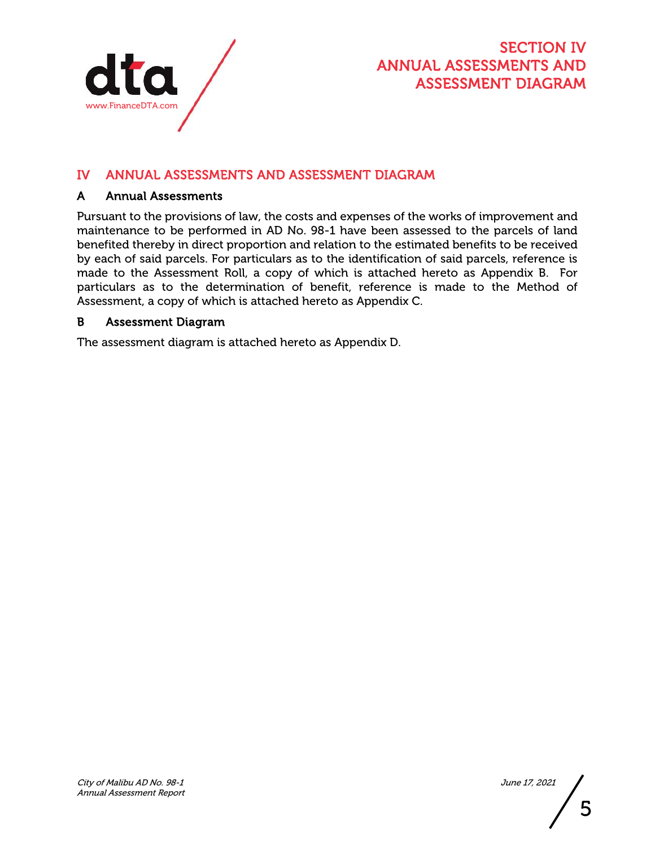

#### **SECTION IV ANNUAL ASSESSMENTS AND ASSESSMENT DIAGRAM**

#### **IV ANNUAL ASSESSMENTS AND ASSESSMENT DIAGRAM**

#### **A Annual Assessments**

Pursuant to the provisions of law, the costs and expenses of the works of improvement and maintenance to be performed in AD No. 98-1 have been assessed to the parcels of land benefited thereby in direct proportion and relation to the estimated benefits to be received by each of said parcels. For particulars as to the identification of said parcels, reference is made to the Assessment Roll, a copy of which is attached hereto as Appendix B. For particulars as to the determination of benefit, reference is made to the Method of Assessment, a copy of which is attached hereto as Appendix C.

#### **B Assessment Diagram**

The assessment diagram is attached hereto as Appendix D.

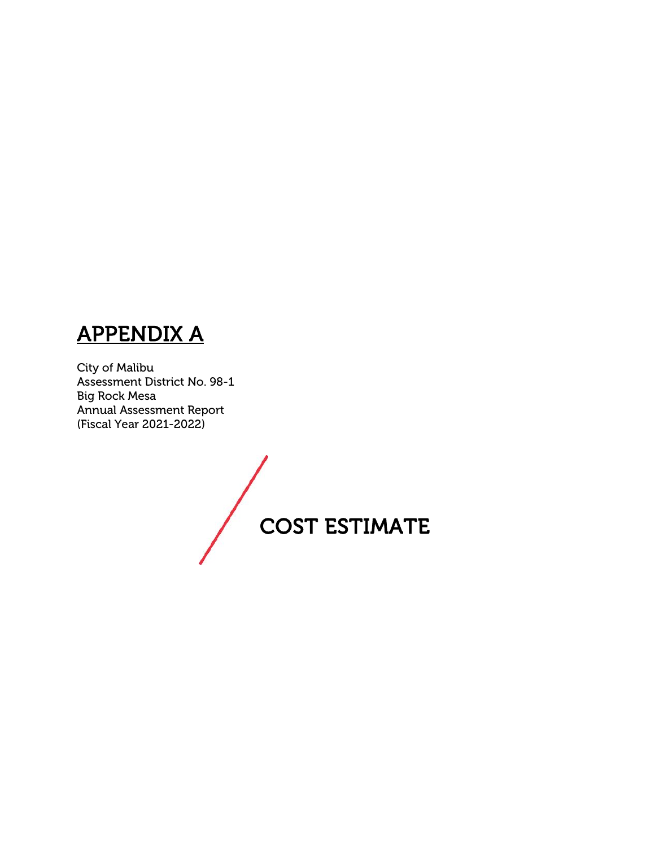# **APPENDIX A**

City of Malibu Assessment District No. 98-1 Big Rock Mesa Annual Assessment Report (Fiscal Year 2021-2022)

**COST ESTIMATE**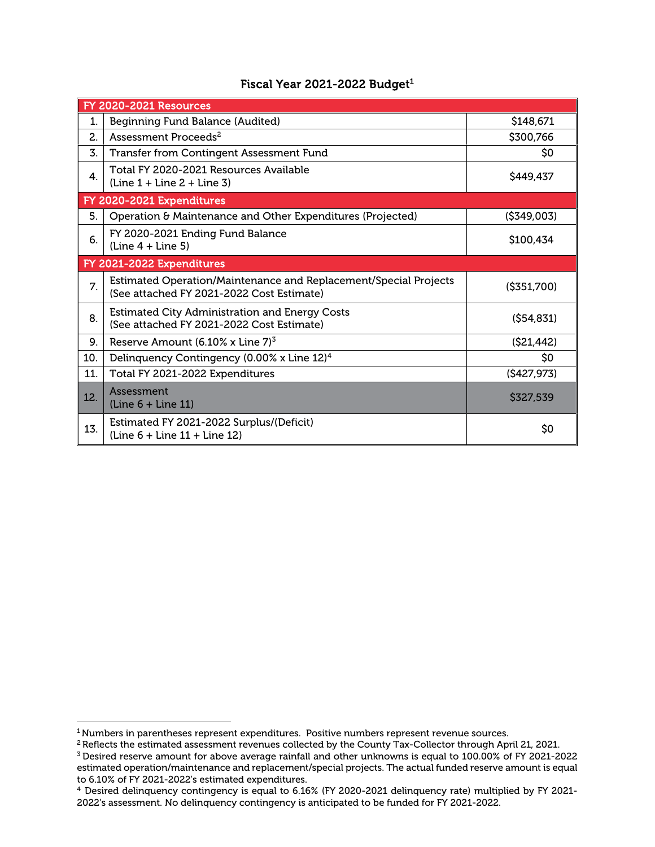#### **Fiscal Year 2021-2022 Budget<sup>1</sup>**

|     | <b>FY 2020-2021 Resources</b>                                                                                 |               |
|-----|---------------------------------------------------------------------------------------------------------------|---------------|
| 1.  | Beginning Fund Balance (Audited)                                                                              | \$148,671     |
| 2.  | Assessment Proceeds <sup>2</sup>                                                                              | \$300,766     |
| 3.  | <b>Transfer from Contingent Assessment Fund</b>                                                               | SO.           |
| 4.  | Total FY 2020-2021 Resources Available<br>$\left(\text{Line } 1 + \text{Line } 2 + \text{Line } 3\right)$     | \$449,437     |
|     | FY 2020-2021 Expenditures                                                                                     |               |
| 5.  | Operation & Maintenance and Other Expenditures (Projected)                                                    | ( \$349,003)  |
| 6.  | FY 2020-2021 Ending Fund Balance<br>$(line 4 + Line 5)$                                                       | \$100,434     |
|     | FY 2021-2022 Expenditures                                                                                     |               |
| 7.  | Estimated Operation/Maintenance and Replacement/Special Projects<br>(See attached FY 2021-2022 Cost Estimate) | ( \$351, 700) |
| 8.  | <b>Estimated City Administration and Energy Costs</b><br>(See attached FY 2021-2022 Cost Estimate)            | (S54, 831)    |
| 9.  | Reserve Amount $(6.10\% \times \text{Line } 7)^3$                                                             | ( \$21,442)   |
| 10. | Delinquency Contingency (0.00% x Line 12) <sup>4</sup>                                                        | \$0           |
| 11. | Total FY 2021-2022 Expenditures                                                                               | (S427, 973)   |
| 12. | Assessment<br>$(line 6 + Line 11)$                                                                            | \$327,539     |
| 13. | Estimated FY 2021-2022 Surplus/(Deficit)<br>$\ln 6 + \ln 11 + \ln 12$                                         | \$0           |

<sup>&</sup>lt;sup>1</sup> Numbers in parentheses represent expenditures. Positive numbers represent revenue sources.

<sup>&</sup>lt;sup>2</sup> Reflects the estimated assessment revenues collected by the County Tax-Collector through April 21, 2021.

<sup>3</sup> Desired reserve amount for above average rainfall and other unknowns is equal to 100.00% of FY 2021-2022 estimated operation/maintenance and replacement/special projects. The actual funded reserve amount is equal to 6.10% of FY 2021-2022's estimated expenditures.

<sup>4</sup> Desired delinquency contingency is equal to 6.16% (FY 2020-2021 delinquency rate) multiplied by FY 2021- 2022's assessment. No delinquency contingency is anticipated to be funded for FY 2021-2022.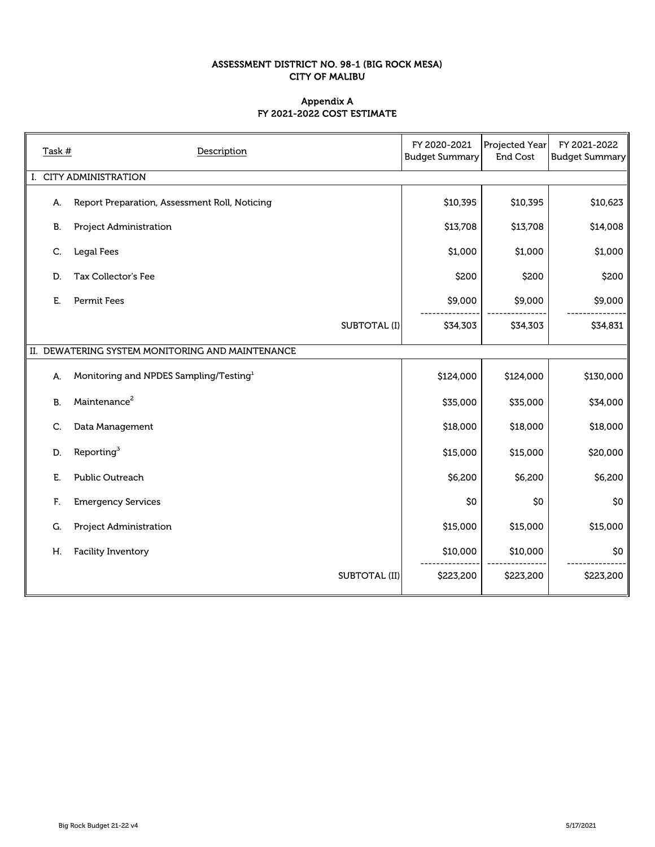#### **ASSESSMENT DISTRICT NO. 98-1 (BIG ROCK MESA) CITY OF MALIBU**

#### **FY 2021-2022 COST ESTIMATE Appendix A**

| Task # | Description                                        | FY 2020-2021<br><b>Budget Summary</b> | Projected Year<br>End Cost | FY 2021-2022<br><b>Budget Summary</b> |
|--------|----------------------------------------------------|---------------------------------------|----------------------------|---------------------------------------|
|        | <b>CITY ADMINISTRATION</b>                         |                                       |                            |                                       |
| А.     | Report Preparation, Assessment Roll, Noticing      | \$10,395                              | \$10,395                   | \$10,623                              |
| B.     | Project Administration                             | \$13,708                              | \$13,708                   | \$14,008                              |
| C.     | <b>Legal Fees</b>                                  | \$1,000                               | \$1,000                    | \$1,000                               |
| D.     | Tax Collector's Fee                                | \$200                                 | \$200                      | \$200                                 |
| Е.     | <b>Permit Fees</b>                                 | \$9,000                               | \$9,000                    | \$9,000                               |
|        | <b>SUBTOTAL (I)</b>                                | \$34,303                              | \$34,303                   | \$34,831                              |
|        | II. DEWATERING SYSTEM MONITORING AND MAINTENANCE   |                                       |                            |                                       |
| А.     | Monitoring and NPDES Sampling/Testing <sup>1</sup> | \$124,000                             | \$124,000                  | \$130,000                             |
| B.     | Maintenance <sup>2</sup>                           | \$35,000                              | \$35,000                   | \$34,000                              |
| C.     | Data Management                                    | \$18,000                              | \$18,000                   | \$18,000                              |
| D.     | Reporting <sup>3</sup>                             | \$15,000                              | \$15,000                   | \$20,000                              |
| Е.     | <b>Public Outreach</b>                             | \$6,200                               | \$6,200                    | \$6,200                               |
| F.     | <b>Emergency Services</b>                          | \$0                                   | \$0                        | \$0                                   |
| G.     | Project Administration                             | \$15,000                              | \$15,000                   | \$15,000                              |
| Η.     | <b>Facility Inventory</b>                          | \$10,000                              | \$10,000                   | \$0                                   |
|        | <b>SUBTOTAL (II)</b>                               | \$223,200                             | \$223,200                  | \$223,200                             |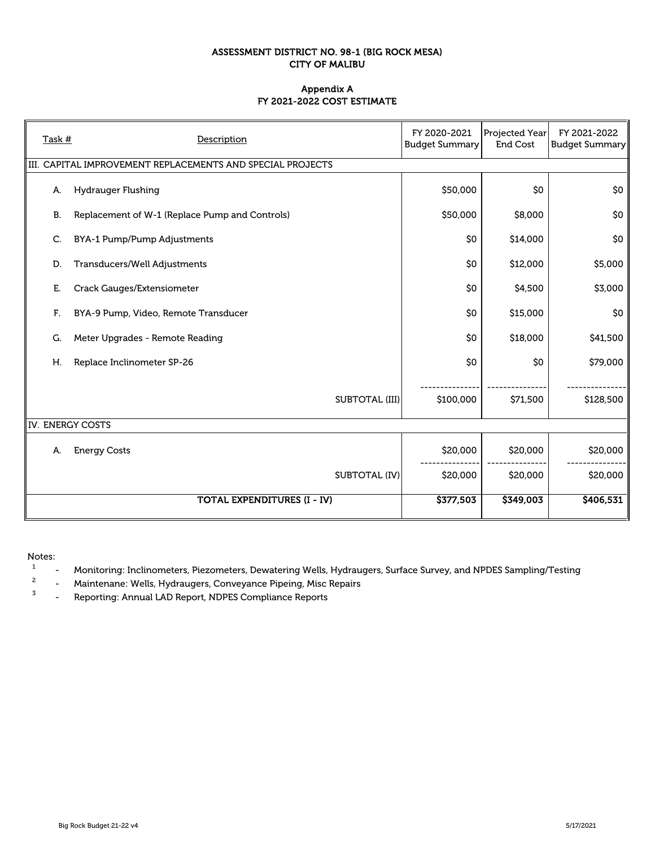#### **ASSESSMENT DISTRICT NO. 98-1 (BIG ROCK MESA) CITY OF MALIBU**

#### **FY 2021-2022 COST ESTIMATE Appendix A**

| Task # | Description                                                            | FY 2020-2021<br><b>Budget Summary</b> | Projected Year<br><b>End Cost</b> | FY 2021-2022<br><b>Budget Summary</b> |
|--------|------------------------------------------------------------------------|---------------------------------------|-----------------------------------|---------------------------------------|
|        | $\parallel$ III. CAPITAL IMPROVEMENT REPLACEMENTS AND SPECIAL PROJECTS |                                       |                                   |                                       |
| А.     | <b>Hydrauger Flushing</b>                                              | \$50,000                              | \$0                               | \$0                                   |
| B.     | Replacement of W-1 (Replace Pump and Controls)                         | \$50,000                              | \$8,000                           | \$0                                   |
| C.     | BYA-1 Pump/Pump Adjustments                                            | \$0                                   | \$14,000                          | \$0                                   |
| D.     | Transducers/Well Adjustments                                           | \$0                                   | \$12,000                          | \$5,000                               |
| Е.     | Crack Gauges/Extensiometer                                             | \$0                                   | \$4,500                           | \$3,000                               |
| F.     | BYA-9 Pump, Video, Remote Transducer                                   | \$0                                   | \$15,000                          | \$0                                   |
| G.     | Meter Upgrades - Remote Reading                                        | \$0                                   | \$18,000                          | \$41,500                              |
| Η.     | Replace Inclinometer SP-26                                             | \$0                                   | \$0                               | \$79,000                              |
|        | <b>SUBTOTAL (III)</b>                                                  | \$100,000                             | \$71,500                          | \$128,500                             |
|        | IV. ENERGY COSTS                                                       |                                       |                                   |                                       |
| А.     | <b>Energy Costs</b>                                                    | \$20,000                              | \$20,000                          | \$20,000                              |
|        | <b>SUBTOTAL (IV)</b>                                                   | \$20,000                              | \$20,000                          | \$20,000                              |
|        | <b>TOTAL EXPENDITURES (I - IV)</b>                                     | \$377,503                             | \$349,003                         | \$406,531                             |

Notes:

<sup>1</sup> - Monitoring: Inclinometers, Piezometers, Dewatering Wells, Hydraugers, Surface Survey, and NPDES Sampling/Testing<br><sup>2</sup> Maintenance Wells, Undraugers, Communese Pineing, Mise Pensire

<sup>2</sup> - Maintenane: Wells, Hydraugers, Conveyance Pipeing, Misc Repairs<br><sup>3</sup> - Penerting: Annual JAD Benert, NDPES Compliance Penerts

- Reporting: Annual LAD Report, NDPES Compliance Reports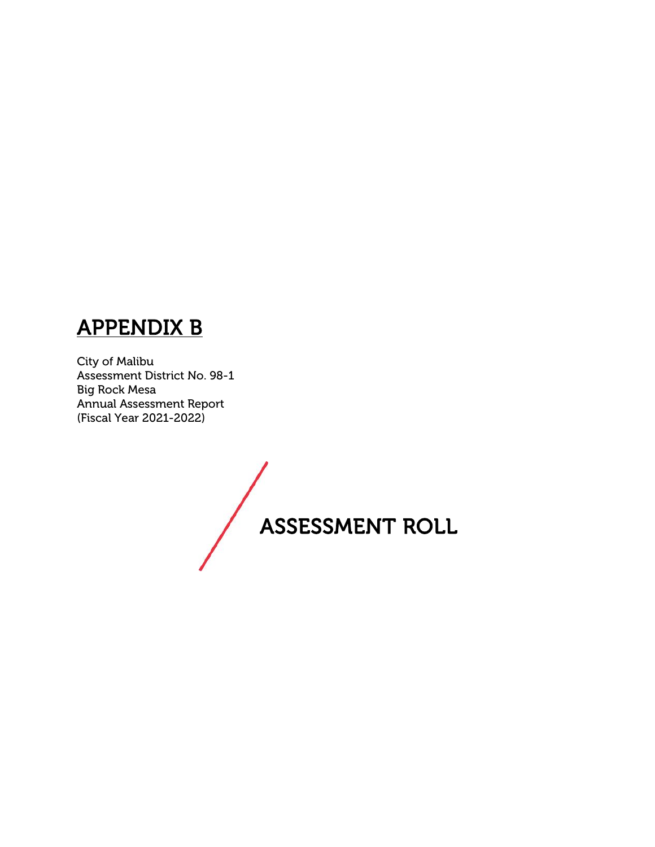# **APPENDIX B**

City of Malibu Assessment District No. 98-1 Big Rock Mesa Annual Assessment Report (Fiscal Year 2021-2022)

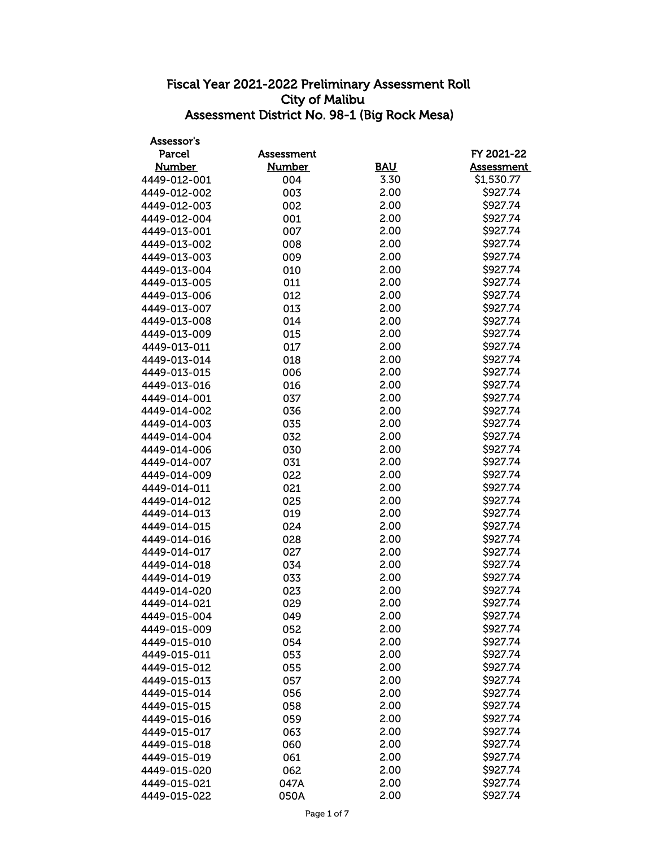| Assessor's    |                   |            |                      |
|---------------|-------------------|------------|----------------------|
| <b>Parcel</b> | <b>Assessment</b> |            | FY 2021-22           |
| <b>Number</b> | <b>Number</b>     | <b>BAU</b> | <b>Assessment</b>    |
| 4449-012-001  | 004               | 3.30       | \$1,530.77           |
| 4449-012-002  | 003               | 2.00       | \$927.74             |
| 4449-012-003  | 002               | 2.00       | \$927.74             |
| 4449-012-004  | 001               | 2.00       | \$927.74             |
| 4449-013-001  | 007               | 2.00       | \$927.74             |
| 4449-013-002  | 008               | 2.00       | \$927.74             |
| 4449-013-003  | 009               | 2.00       | \$927.74             |
| 4449-013-004  | 010               | 2.00       | \$927.74             |
| 4449-013-005  | 011               | 2.00       | \$927.74             |
| 4449-013-006  | 012               | 2.00       | \$927.74             |
| 4449-013-007  | 013               | 2.00       | \$927.74             |
| 4449-013-008  | 014               | 2.00       | \$927.74             |
| 4449-013-009  | 015               | 2.00       | \$927.74             |
| 4449-013-011  | 017               | 2.00       | \$927.74             |
| 4449-013-014  | 018               | 2.00       | \$927.74             |
| 4449-013-015  | 006               | 2.00       | \$927.74             |
| 4449-013-016  | 016               | 2.00       | \$927.74             |
| 4449-014-001  | 037               | 2.00       | \$927.74             |
| 4449-014-002  | 036               | 2.00       | \$927.74             |
| 4449-014-003  | 035               | 2.00       | \$927.74             |
| 4449-014-004  | 032               | 2.00       | \$927.74             |
| 4449-014-006  | 030               | 2.00       | \$927.74             |
| 4449-014-007  | 031               | 2.00       | \$927.74             |
| 4449-014-009  | 022               | 2.00       | \$927.74             |
| 4449-014-011  | 021               | 2.00       | \$927.74             |
| 4449-014-012  | 025               | 2.00       | \$927.74             |
| 4449-014-013  | 019               | 2.00       | \$927.74             |
| 4449-014-015  | 024               | 2.00       | \$927.74             |
| 4449-014-016  | 028               | 2.00       | \$927.74             |
| 4449-014-017  | 027               | 2.00       | \$927.74             |
| 4449-014-018  | 034               | 2.00       | \$927.74             |
| 4449-014-019  |                   | 2.00       | \$927.74             |
| 4449-014-020  | 033<br>023        | 2.00       | \$927.74             |
| 4449-014-021  | 029               | 2.00       | \$927.74             |
|               |                   | 2.00       | \$927.74             |
| 4449-015-004  | 049               |            | \$927.74             |
| 4449-015-009  | 052               | 2.00       | \$927.74             |
| 4449-015-010  | 054               | 2.00       |                      |
| 4449-015-011  | 053               | 2.00       | \$927.74<br>\$927.74 |
| 4449-015-012  | 055               | 2.00       |                      |
| 4449-015-013  | 057               | 2.00       | \$927.74             |
| 4449-015-014  | 056               | 2.00       | \$927.74             |
| 4449-015-015  | 058               | 2.00       | \$927.74             |
| 4449-015-016  | 059               | 2.00       | \$927.74             |
| 4449-015-017  | 063               | 2.00       | \$927.74             |
| 4449-015-018  | 060               | 2.00       | \$927.74             |
| 4449-015-019  | 061               | 2.00       | \$927.74             |
| 4449-015-020  | 062               | 2.00       | \$927.74             |
| 4449-015-021  | 047A              | 2.00       | \$927.74             |
| 4449-015-022  | 050A              | 2.00       | \$927.74             |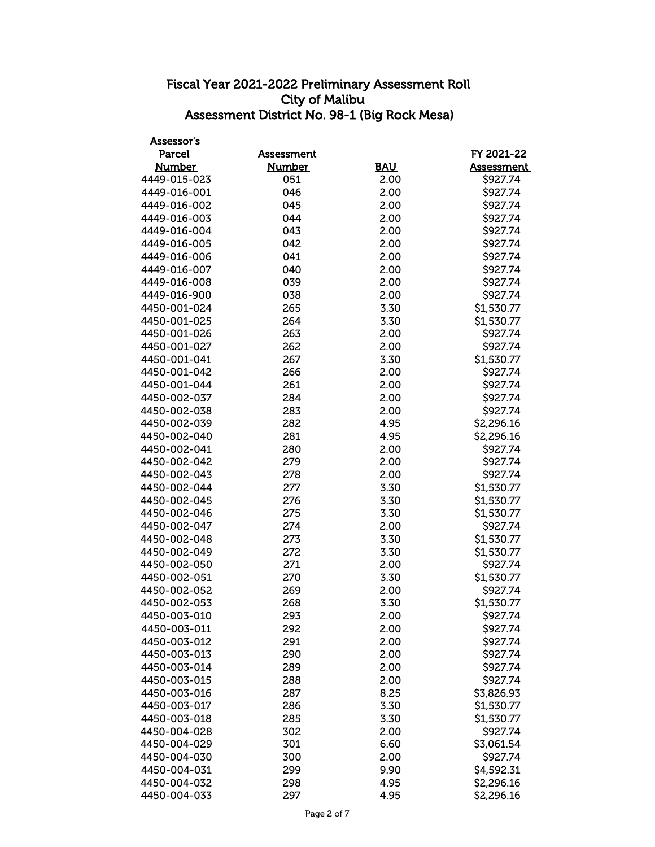| Assessor's    |                   |            |                   |
|---------------|-------------------|------------|-------------------|
| <b>Parcel</b> | <b>Assessment</b> |            | FY 2021-22        |
| <b>Number</b> | <b>Number</b>     | <b>BAU</b> | <b>Assessment</b> |
| 4449-015-023  | 051               | 2.00       | \$927.74          |
| 4449-016-001  | 046               | 2.00       | \$927.74          |
| 4449-016-002  | 045               | 2.00       | \$927.74          |
| 4449-016-003  | 044               | 2.00       | \$927.74          |
| 4449-016-004  | 043               | 2.00       | \$927.74          |
| 4449-016-005  | 042               | 2.00       | \$927.74          |
| 4449-016-006  | 041               | 2.00       | \$927.74          |
| 4449-016-007  | 040               | 2.00       | \$927.74          |
| 4449-016-008  | 039               | 2.00       | \$927.74          |
| 4449-016-900  | 038               | 2.00       | \$927.74          |
| 4450-001-024  | 265               | 3.30       | \$1,530.77        |
| 4450-001-025  | 264               | 3.30       | \$1,530.77        |
| 4450-001-026  | 263               | 2.00       | \$927.74          |
| 4450-001-027  | 262               | 2.00       | \$927.74          |
| 4450-001-041  | 267               | 3.30       | \$1,530.77        |
| 4450-001-042  | 266               | 2.00       | \$927.74          |
| 4450-001-044  | 261               | 2.00       | \$927.74          |
| 4450-002-037  | 284               | 2.00       | \$927.74          |
| 4450-002-038  | 283               | 2.00       | \$927.74          |
| 4450-002-039  | 282               | 4.95       | \$2,296.16        |
| 4450-002-040  | 281               | 4.95       | \$2,296.16        |
| 4450-002-041  | 280               | 2.00       | \$927.74          |
| 4450-002-042  | 279               | 2.00       | \$927.74          |
| 4450-002-043  | 278               | 2.00       | \$927.74          |
| 4450-002-044  | 277               | 3.30       | \$1,530.77        |
| 4450-002-045  | 276               | 3.30       | \$1,530.77        |
| 4450-002-046  | 275               | 3.30       | \$1,530.77        |
| 4450-002-047  | 274               | 2.00       | \$927.74          |
| 4450-002-048  | 273               | 3.30       | \$1,530.77        |
| 4450-002-049  | 272               | 3.30       | \$1,530.77        |
| 4450-002-050  | 271               | 2.00       | \$927.74          |
| 4450-002-051  | 270               | 3.30       | \$1,530.77        |
| 4450-002-052  | 269               | 2.00       | \$927.74          |
| 4450-002-053  | 268               | 3.30       | \$1,530.77        |
| 4450-003-010  | 293               | 2.00       | \$927.74          |
| 4450-003-011  | 292               | 2.00       | \$927.74          |
| 4450-003-012  | 291               | 2.00       | \$927.74          |
| 4450-003-013  | 290               | 2.00       | \$927.74          |
| 4450-003-014  | 289               | 2.00       | \$927.74          |
| 4450-003-015  | 288               | 2.00       | \$927.74          |
| 4450-003-016  | 287               | 8.25       | \$3,826.93        |
| 4450-003-017  | 286               | 3.30       | \$1,530.77        |
| 4450-003-018  | 285               | 3.30       | \$1,530.77        |
| 4450-004-028  | 302               | 2.00       | \$927.74          |
| 4450-004-029  | 301               | 6.60       | \$3,061.54        |
| 4450-004-030  | 300               | 2.00       | \$927.74          |
| 4450-004-031  | 299               | 9.90       | \$4,592.31        |
| 4450-004-032  | 298               | 4.95       | \$2,296.16        |
| 4450-004-033  | 297               | 4.95       | \$2,296.16        |
|               |                   |            |                   |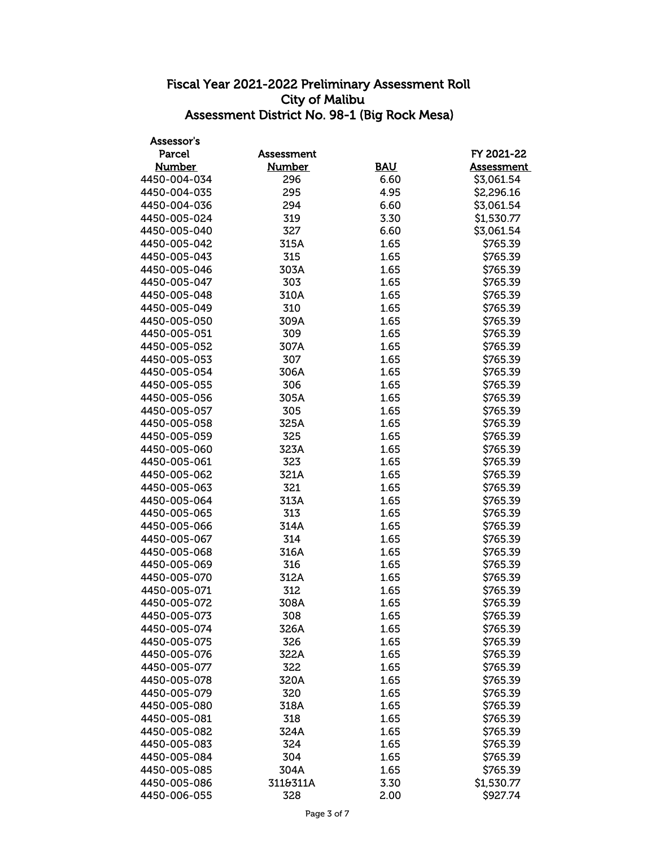| Assessor's    |                   |            |                   |
|---------------|-------------------|------------|-------------------|
| Parcel        | <b>Assessment</b> |            | FY 2021-22        |
| <b>Number</b> | <b>Number</b>     | <b>BAU</b> | <b>Assessment</b> |
| 4450-004-034  | 296               | 6.60       | \$3,061.54        |
| 4450-004-035  | 295               | 4.95       | \$2,296.16        |
| 4450-004-036  | 294               | 6.60       | \$3,061.54        |
| 4450-005-024  | 319               | 3.30       | \$1,530.77        |
| 4450-005-040  | 327               | 6.60       | \$3,061.54        |
| 4450-005-042  | 315A              | 1.65       | \$765.39          |
| 4450-005-043  | 315               | 1.65       | \$765.39          |
| 4450-005-046  | 303A              | 1.65       | \$765.39          |
| 4450-005-047  | 303               | 1.65       | \$765.39          |
| 4450-005-048  | 310A              | 1.65       | \$765.39          |
| 4450-005-049  | 310               | 1.65       | \$765.39          |
| 4450-005-050  | 309A              | 1.65       | \$765.39          |
| 4450-005-051  | 309               | 1.65       | \$765.39          |
| 4450-005-052  | 307A              | 1.65       | \$765.39          |
| 4450-005-053  | 307               | 1.65       | \$765.39          |
| 4450-005-054  | 306A              | 1.65       | \$765.39          |
| 4450-005-055  | 306               | 1.65       | \$765.39          |
| 4450-005-056  | 305A              | 1.65       | \$765.39          |
| 4450-005-057  | 305               | 1.65       | \$765.39          |
| 4450-005-058  | 325A              | 1.65       | \$765.39          |
| 4450-005-059  | 325               | 1.65       | \$765.39          |
| 4450-005-060  | 323A              | 1.65       | \$765.39          |
| 4450-005-061  | 323               | 1.65       | \$765.39          |
| 4450-005-062  | 321A              | 1.65       | \$765.39          |
| 4450-005-063  | 321               | 1.65       | \$765.39          |
| 4450-005-064  | 313A              | 1.65       | \$765.39          |
| 4450-005-065  | 313               | 1.65       | \$765.39          |
| 4450-005-066  | 314A              | 1.65       | \$765.39          |
| 4450-005-067  | 314               | 1.65       | \$765.39          |
| 4450-005-068  | 316A              | 1.65       | \$765.39          |
| 4450-005-069  | 316               | 1.65       | \$765.39          |
| 4450-005-070  | 312A              | 1.65       | \$765.39          |
| 4450-005-071  | 312               | 1.65       | \$765.39          |
| 4450-005-072  | 308A              | 1.65       | \$765.39          |
| 4450-005-073  | 308               | 1.65       | \$765.39          |
| 4450-005-074  | 326A              | 1.65       | \$765.39          |
| 4450-005-075  | 326               | 1.65       | \$765.39          |
| 4450-005-076  | 322A              | 1.65       | \$765.39          |
| 4450-005-077  | 322               | 1.65       | \$765.39          |
| 4450-005-078  | 320A              | 1.65       | \$765.39          |
| 4450-005-079  | 320               | 1.65       | \$765.39          |
| 4450-005-080  | 318A              | 1.65       | \$765.39          |
| 4450-005-081  | 318               | 1.65       | \$765.39          |
| 4450-005-082  | 324A              | 1.65       | \$765.39          |
| 4450-005-083  | 324               | 1.65       | \$765.39          |
| 4450-005-084  | 304               | 1.65       | \$765.39          |
| 4450-005-085  | 304A              | 1.65       | \$765.39          |
| 4450-005-086  | 311&311A          | 3.30       | \$1,530.77        |
| 4450-006-055  | 328               | 2.00       | \$927.74          |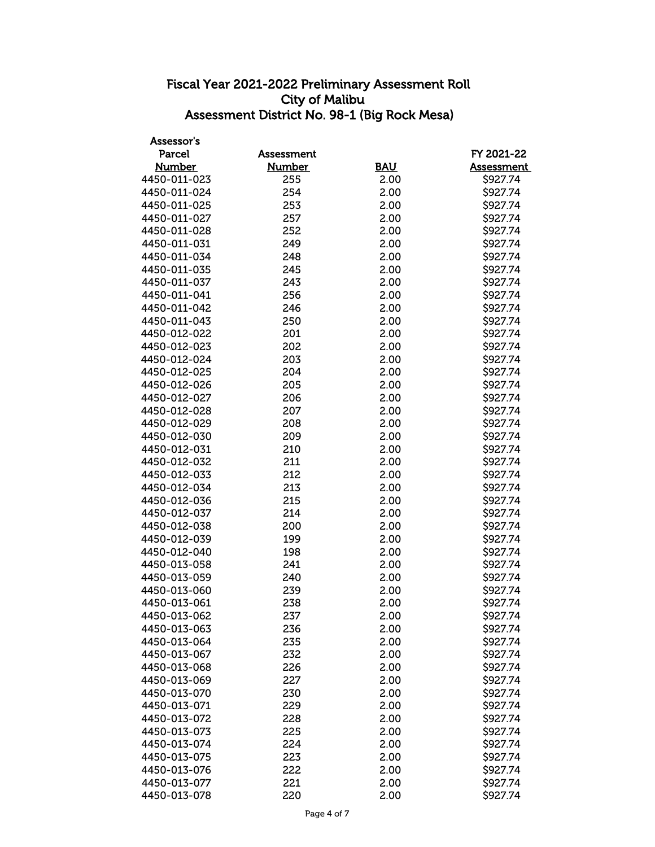| Assessor's    |               |            |                   |
|---------------|---------------|------------|-------------------|
| <b>Parcel</b> | Assessment    |            | FY 2021-22        |
| <b>Number</b> | <b>Number</b> | <b>BAU</b> | <b>Assessment</b> |
| 4450-011-023  | 255           | 2.00       | \$927.74          |
| 4450-011-024  | 254           | 2.00       | \$927.74          |
| 4450-011-025  | 253           | 2.00       | \$927.74          |
| 4450-011-027  | 257           | 2.00       | \$927.74          |
| 4450-011-028  | 252           | 2.00       | \$927.74          |
| 4450-011-031  | 249           | 2.00       | \$927.74          |
| 4450-011-034  | 248           | 2.00       | \$927.74          |
| 4450-011-035  | 245           | 2.00       | \$927.74          |
| 4450-011-037  | 243           | 2.00       | \$927.74          |
| 4450-011-041  | 256           | 2.00       | \$927.74          |
| 4450-011-042  | 246           | 2.00       | \$927.74          |
| 4450-011-043  | 250           | 2.00       | \$927.74          |
| 4450-012-022  | 201           | 2.00       | \$927.74          |
| 4450-012-023  | 202           | 2.00       | \$927.74          |
| 4450-012-024  | 203           | 2.00       | \$927.74          |
| 4450-012-025  | 204           | 2.00       | \$927.74          |
| 4450-012-026  | 205           | 2.00       | \$927.74          |
| 4450-012-027  | 206           | 2.00       | \$927.74          |
| 4450-012-028  | 207           | 2.00       | \$927.74          |
| 4450-012-029  | 208           | 2.00       | \$927.74          |
| 4450-012-030  | 209           | 2.00       | \$927.74          |
| 4450-012-031  | 210           | 2.00       | \$927.74          |
| 4450-012-032  | 211           | 2.00       | \$927.74          |
| 4450-012-033  | 212           | 2.00       | \$927.74          |
| 4450-012-034  | 213           | 2.00       | \$927.74          |
| 4450-012-036  | 215           | 2.00       | \$927.74          |
| 4450-012-037  | 214           | 2.00       | \$927.74          |
| 4450-012-038  | 200           | 2.00       | \$927.74          |
| 4450-012-039  | 199           | 2.00       | \$927.74          |
| 4450-012-040  | 198           | 2.00       | \$927.74          |
| 4450-013-058  | 241           | 2.00       | \$927.74          |
| 4450-013-059  | 240           | 2.00       | \$927.74          |
| 4450-013-060  | 239           | 2.00       | \$927.74          |
| 4450-013-061  | 238           | 2.00       | \$927.74          |
| 4450-013-062  | 237           | 2.00       | \$927.74          |
| 4450-013-063  | 236           | 2.00       | \$927.74          |
| 4450-013-064  | 235           | 2.00       | \$927.74          |
| 4450-013-067  | 232           | 2.00       | \$927.74          |
| 4450-013-068  | 226           | 2.00       | \$927.74          |
| 4450-013-069  | 227           | 2.00       | \$927.74          |
| 4450-013-070  | 230           | 2.00       | \$927.74          |
| 4450-013-071  | 229           | 2.00       | \$927.74          |
| 4450-013-072  | 228           | 2.00       | \$927.74          |
| 4450-013-073  | 225           | 2.00       | \$927.74          |
| 4450-013-074  | 224           | 2.00       | \$927.74          |
| 4450-013-075  | 223           | 2.00       | \$927.74          |
| 4450-013-076  | 222           | 2.00       | \$927.74          |
| 4450-013-077  | 221           | 2.00       | \$927.74          |
| 4450-013-078  | 220           | 2.00       | \$927.74          |
|               |               |            |                   |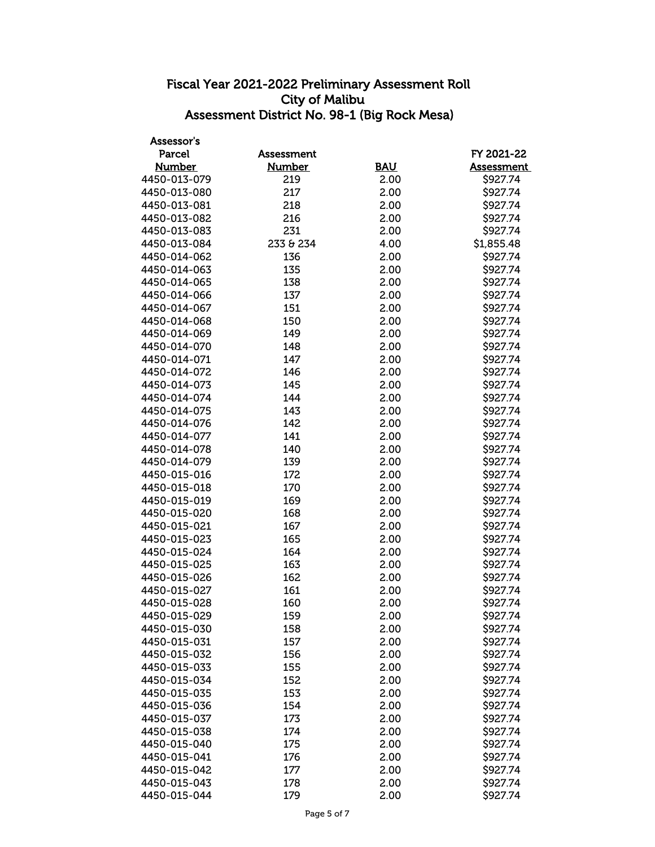| Assessor's    |                   |            |                   |
|---------------|-------------------|------------|-------------------|
| <b>Parcel</b> | <b>Assessment</b> |            | FY 2021-22        |
| <b>Number</b> | <b>Number</b>     | <b>BAU</b> | <b>Assessment</b> |
| 4450-013-079  | 219               | 2.00       | \$927.74          |
| 4450-013-080  | 217               | 2.00       | \$927.74          |
| 4450-013-081  | 218               | 2.00       | \$927.74          |
| 4450-013-082  | 216               | 2.00       | \$927.74          |
| 4450-013-083  | 231               | 2.00       | \$927.74          |
| 4450-013-084  | 233 & 234         | 4.00       | \$1,855.48        |
| 4450-014-062  | 136               | 2.00       | \$927.74          |
| 4450-014-063  | 135               | 2.00       | \$927.74          |
| 4450-014-065  | 138               | 2.00       | \$927.74          |
| 4450-014-066  | 137               | 2.00       | \$927.74          |
| 4450-014-067  | 151               | 2.00       | \$927.74          |
| 4450-014-068  | 150               | 2.00       | \$927.74          |
| 4450-014-069  | 149               | 2.00       | \$927.74          |
| 4450-014-070  | 148               | 2.00       | \$927.74          |
| 4450-014-071  | 147               | 2.00       | \$927.74          |
| 4450-014-072  | 146               | 2.00       | \$927.74          |
| 4450-014-073  | 145               | 2.00       | \$927.74          |
| 4450-014-074  | 144               | 2.00       | \$927.74          |
| 4450-014-075  | 143               | 2.00       | \$927.74          |
| 4450-014-076  | 142               | 2.00       | \$927.74          |
| 4450-014-077  | 141               | 2.00       | \$927.74          |
| 4450-014-078  | 140               | 2.00       | \$927.74          |
| 4450-014-079  | 139               | 2.00       | \$927.74          |
| 4450-015-016  | 172               | 2.00       | \$927.74          |
| 4450-015-018  | 170               | 2.00       | \$927.74          |
| 4450-015-019  | 169               | 2.00       | \$927.74          |
| 4450-015-020  | 168               | 2.00       | \$927.74          |
| 4450-015-021  | 167               | 2.00       | \$927.74          |
| 4450-015-023  | 165               | 2.00       | \$927.74          |
| 4450-015-024  | 164               | 2.00       | \$927.74          |
| 4450-015-025  | 163               | 2.00       | \$927.74          |
| 4450-015-026  | 162               | 2.00       | \$927.74          |
| 4450-015-027  | 161               | 2.00       | \$927.74          |
| 4450-015-028  | 160               | 2.00       | \$927.74          |
| 4450-015-029  | 159               | 2.00       | \$927.74          |
| 4450-015-030  | 158               | 2.00       | \$927.74          |
| 4450-015-031  | 157               | 2.00       | \$927.74          |
| 4450-015-032  | 156               | 2.00       | \$927.74          |
| 4450-015-033  | 155               | 2.00       | \$927.74          |
| 4450-015-034  | 152               | 2.00       | \$927.74          |
| 4450-015-035  | 153               | 2.00       | \$927.74          |
| 4450-015-036  | 154               | 2.00       | \$927.74          |
| 4450-015-037  | 173               | 2.00       | \$927.74          |
| 4450-015-038  | 174               | 2.00       | \$927.74          |
| 4450-015-040  | 175               | 2.00       | \$927.74          |
| 4450-015-041  | 176               | 2.00       | \$927.74          |
| 4450-015-042  | 177               | 2.00       | \$927.74          |
| 4450-015-043  | 178               | 2.00       | \$927.74          |
| 4450-015-044  | 179               | 2.00       | \$927.74          |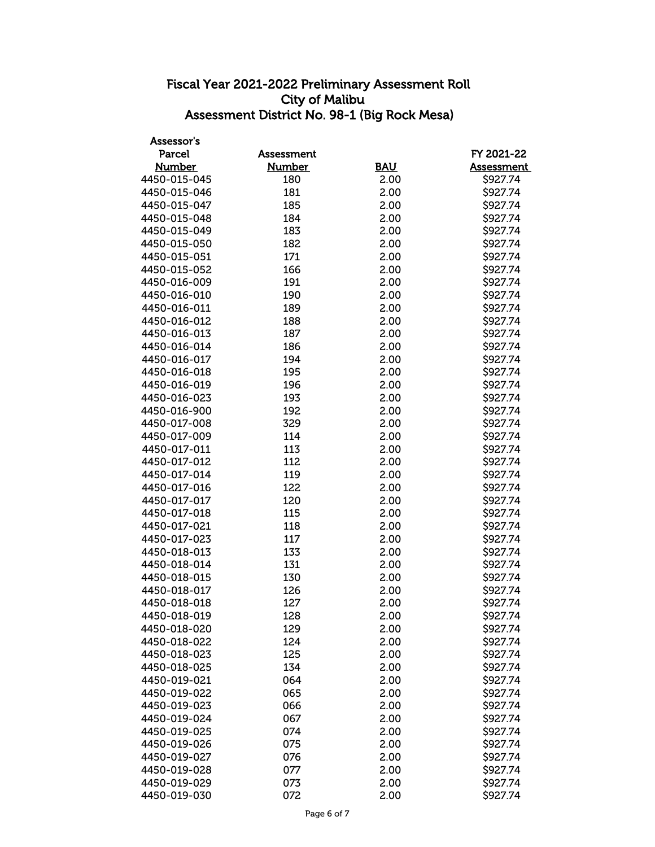| Assessor's    |                   |            |                   |
|---------------|-------------------|------------|-------------------|
| <b>Parcel</b> | <b>Assessment</b> |            | FY 2021-22        |
| <b>Number</b> | <b>Number</b>     | <b>BAU</b> | <b>Assessment</b> |
| 4450-015-045  | 180               | 2.00       | \$927.74          |
| 4450-015-046  | 181               | 2.00       | \$927.74          |
| 4450-015-047  | 185               | 2.00       | \$927.74          |
| 4450-015-048  | 184               | 2.00       | \$927.74          |
| 4450-015-049  | 183               | 2.00       | \$927.74          |
| 4450-015-050  | 182               | 2.00       | \$927.74          |
| 4450-015-051  | 171               | 2.00       | \$927.74          |
| 4450-015-052  | 166               | 2.00       | \$927.74          |
| 4450-016-009  | 191               | 2.00       | \$927.74          |
| 4450-016-010  | 190               | 2.00       | \$927.74          |
| 4450-016-011  | 189               | 2.00       | \$927.74          |
| 4450-016-012  | 188               | 2.00       | \$927.74          |
| 4450-016-013  | 187               | 2.00       | \$927.74          |
| 4450-016-014  | 186               | 2.00       | \$927.74          |
| 4450-016-017  | 194               | 2.00       | \$927.74          |
| 4450-016-018  | 195               | 2.00       | \$927.74          |
| 4450-016-019  | 196               | 2.00       | \$927.74          |
| 4450-016-023  | 193               | 2.00       | \$927.74          |
| 4450-016-900  | 192               | 2.00       | \$927.74          |
| 4450-017-008  | 329               | 2.00       | \$927.74          |
| 4450-017-009  | 114               | 2.00       | \$927.74          |
| 4450-017-011  | 113               | 2.00       | \$927.74          |
| 4450-017-012  | 112               | 2.00       | \$927.74          |
| 4450-017-014  | 119               | 2.00       | \$927.74          |
| 4450-017-016  | 122               | 2.00       | \$927.74          |
| 4450-017-017  | 120               | 2.00       | \$927.74          |
| 4450-017-018  | 115               | 2.00       | \$927.74          |
| 4450-017-021  | 118               | 2.00       | \$927.74          |
| 4450-017-023  | 117               | 2.00       | \$927.74          |
| 4450-018-013  | 133               | 2.00       | \$927.74          |
| 4450-018-014  | 131               | 2.00       | \$927.74          |
| 4450-018-015  | 130               | 2.00       | \$927.74          |
| 4450-018-017  | 126               | 2.00       | \$927.74          |
| 4450-018-018  | 127               | 2.00       | \$927.74          |
| 4450-018-019  | 128               | 2.00       | \$927.74          |
| 4450-018-020  | 129               | 2.00       | \$927.74          |
| 4450-018-022  | 124               | 2.00       | \$927.74          |
| 4450-018-023  | 125               | 2.00       | \$927.74          |
| 4450-018-025  | 134               | 2.00       | \$927.74          |
| 4450-019-021  | 064               | 2.00       | \$927.74          |
| 4450-019-022  | 065               | 2.00       | \$927.74          |
| 4450-019-023  | 066               | 2.00       | \$927.74          |
| 4450-019-024  | 067               | 2.00       | \$927.74          |
| 4450-019-025  | 074               | 2.00       | \$927.74          |
| 4450-019-026  | 075               | 2.00       | \$927.74          |
| 4450-019-027  | 076               | 2.00       | \$927.74          |
| 4450-019-028  | 077               | 2.00       | \$927.74          |
| 4450-019-029  | 073               | 2.00       | \$927.74          |
| 4450-019-030  | 072               | 2.00       | \$927.74          |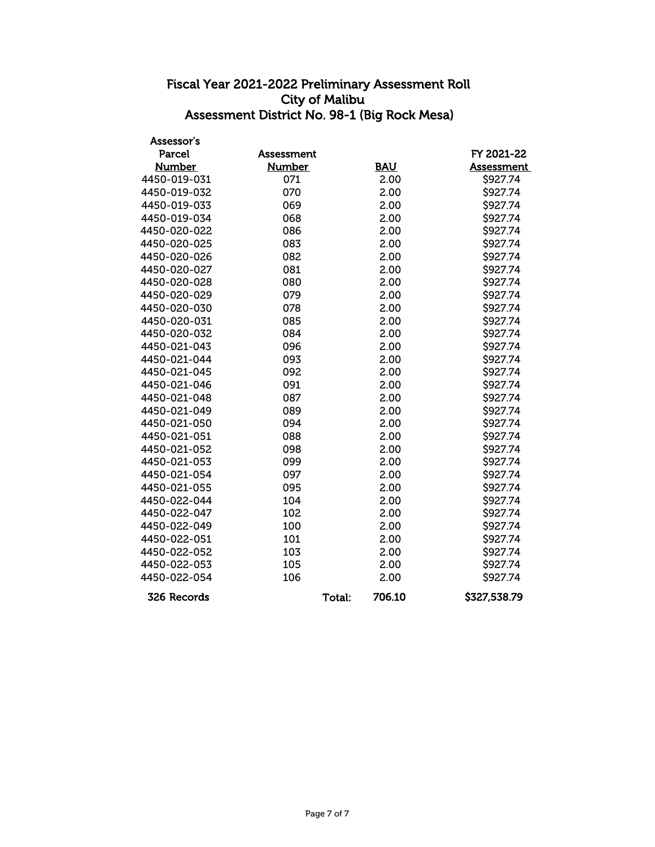| Assessor's    |               |        |            |                   |
|---------------|---------------|--------|------------|-------------------|
| Parcel        | Assessment    |        |            | FY 2021-22        |
| <b>Number</b> | <b>Number</b> |        | <b>BAU</b> | <b>Assessment</b> |
| 4450-019-031  | 071           |        | 2.00       | \$927.74          |
| 4450-019-032  | 070           |        | 2.00       | \$927.74          |
| 4450-019-033  | 069           |        | 2.00       | \$927.74          |
| 4450-019-034  | 068           |        | 2.00       | \$927.74          |
| 4450-020-022  | 086           |        | 2.00       | \$927.74          |
| 4450-020-025  | 083           |        | 2.00       | \$927.74          |
| 4450-020-026  | 082           |        | 2.00       | \$927.74          |
| 4450-020-027  | 081           |        | 2.00       | \$927.74          |
| 4450-020-028  | 080           |        | 2.00       | \$927.74          |
| 4450-020-029  | 079           |        | 2.00       | \$927.74          |
| 4450-020-030  | 078           |        | 2.00       | \$927.74          |
| 4450-020-031  | 085           |        | 2.00       | \$927.74          |
| 4450-020-032  | 084           |        | 2.00       | \$927.74          |
| 4450-021-043  | 096           |        | 2.00       | \$927.74          |
| 4450-021-044  | 093           |        | 2.00       | \$927.74          |
| 4450-021-045  | 092           |        | 2.00       | \$927.74          |
| 4450-021-046  | 091           |        | 2.00       | \$927.74          |
| 4450-021-048  | 087           |        | 2.00       | \$927.74          |
| 4450-021-049  | 089           |        | 2.00       | \$927.74          |
| 4450-021-050  | 094           |        | 2.00       | \$927.74          |
| 4450-021-051  | 088           |        | 2.00       | \$927.74          |
| 4450-021-052  | 098           |        | 2.00       | \$927.74          |
| 4450-021-053  | 099           |        | 2.00       | \$927.74          |
| 4450-021-054  | 097           |        | 2.00       | \$927.74          |
| 4450-021-055  | 095           |        | 2.00       | \$927.74          |
| 4450-022-044  | 104           |        | 2.00       | \$927.74          |
| 4450-022-047  | 102           |        | 2.00       | \$927.74          |
| 4450-022-049  | 100           |        | 2.00       | \$927.74          |
| 4450-022-051  | 101           |        | 2.00       | \$927.74          |
| 4450-022-052  | 103           |        | 2.00       | \$927.74          |
| 4450-022-053  | 105           |        | 2.00       | \$927.74          |
| 4450-022-054  | 106           |        | 2.00       | \$927.74          |
| 326 Records   |               | Total: | 706.10     | \$327,538.79      |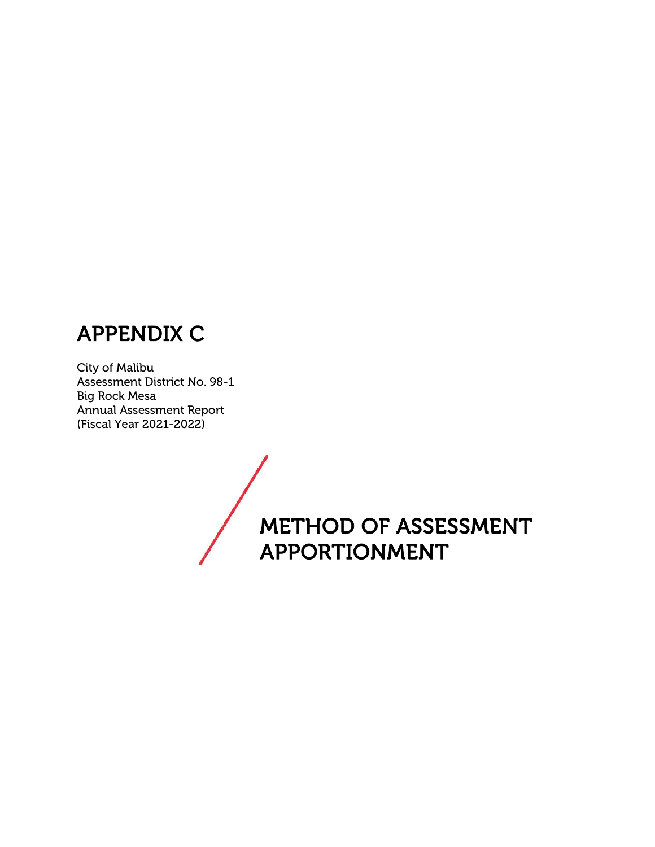# **APPENDIX C**

City of Malibu Assessment District No. 98-1 Big Rock Mesa Annual Assessment Report (Fiscal Year 2021-2022)

> **METHOD OF ASSESSMENT APPORTIONMENT**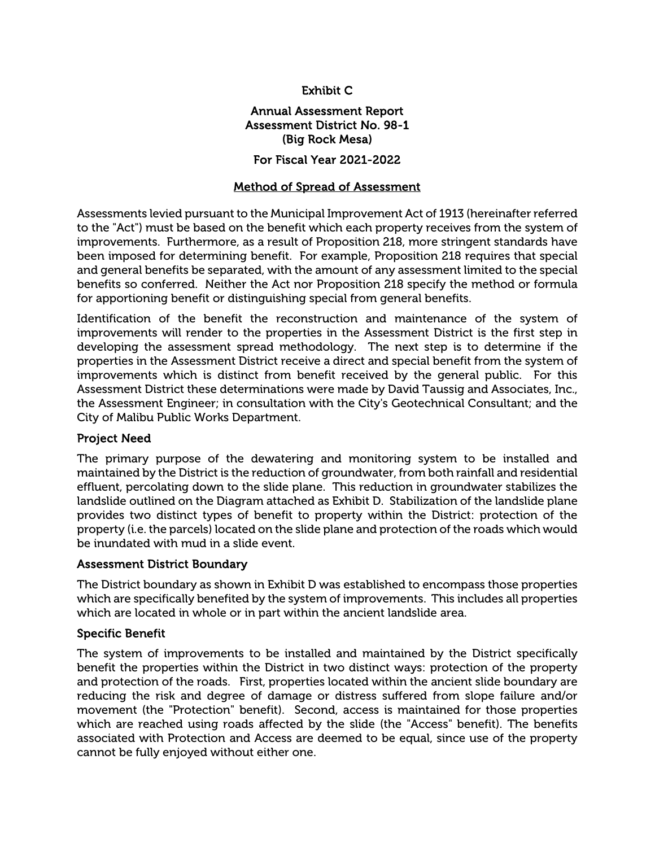#### **Exhibit C**

#### **Annual Assessment Report Assessment District No. 98-1 (Big Rock Mesa)**

#### **For Fiscal Year 2021-2022**

#### **Method of Spread of Assessment**

Assessments levied pursuant to the Municipal Improvement Act of 1913 (hereinafter referred to the "Act") must be based on the benefit which each property receives from the system of improvements. Furthermore, as a result of Proposition 218, more stringent standards have been imposed for determining benefit. For example, Proposition 218 requires that special and general benefits be separated, with the amount of any assessment limited to the special benefits so conferred. Neither the Act nor Proposition 218 specify the method or formula for apportioning benefit or distinguishing special from general benefits.

Identification of the benefit the reconstruction and maintenance of the system of improvements will render to the properties in the Assessment District is the first step in developing the assessment spread methodology. The next step is to determine if the properties in the Assessment District receive a direct and special benefit from the system of improvements which is distinct from benefit received by the general public. For this Assessment District these determinations were made by David Taussig and Associates, Inc., the Assessment Engineer; in consultation with the City's Geotechnical Consultant; and the City of Malibu Public Works Department.

#### **Project Need**

The primary purpose of the dewatering and monitoring system to be installed and maintained by the District is the reduction of groundwater, from both rainfall and residential effluent, percolating down to the slide plane. This reduction in groundwater stabilizes the landslide outlined on the Diagram attached as Exhibit D. Stabilization of the landslide plane provides two distinct types of benefit to property within the District: protection of the property (i.e. the parcels) located on the slide plane and protection of the roads which would be inundated with mud in a slide event.

#### **Assessment District Boundary**

The District boundary as shown in Exhibit D was established to encompass those properties which are specifically benefited by the system of improvements. This includes all properties which are located in whole or in part within the ancient landslide area.

#### **Specific Benefit**

The system of improvements to be installed and maintained by the District specifically benefit the properties within the District in two distinct ways: protection of the property and protection of the roads. First, properties located within the ancient slide boundary are reducing the risk and degree of damage or distress suffered from slope failure and/or movement (the "Protection" benefit). Second, access is maintained for those properties which are reached using roads affected by the slide (the "Access" benefit). The benefits associated with Protection and Access are deemed to be equal, since use of the property cannot be fully enjoyed without either one.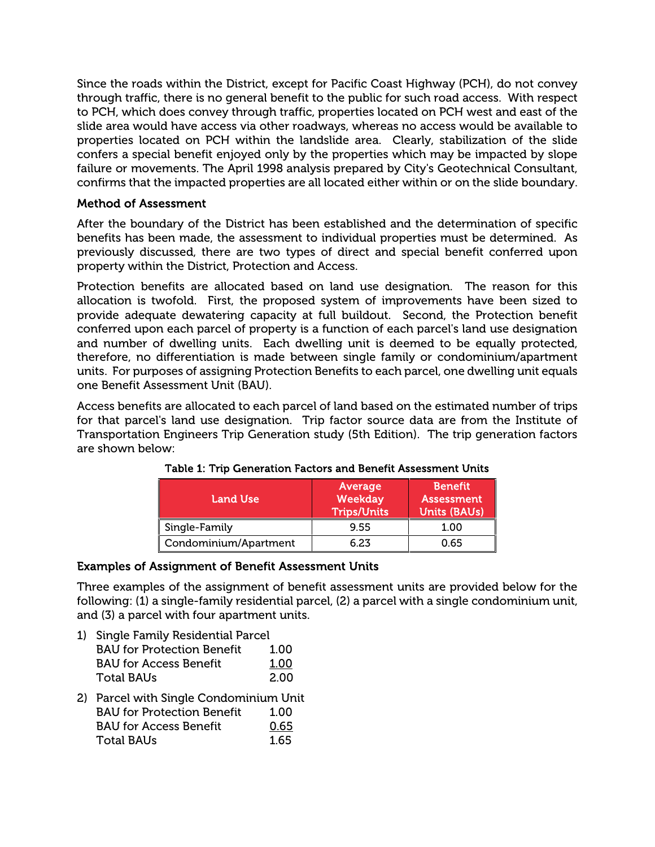Since the roads within the District, except for Pacific Coast Highway (PCH), do not convey through traffic, there is no general benefit to the public for such road access. With respect to PCH, which does convey through traffic, properties located on PCH west and east of the slide area would have access via other roadways, whereas no access would be available to properties located on PCH within the landslide area. Clearly, stabilization of the slide confers a special benefit enjoyed only by the properties which may be impacted by slope failure or movements. The April 1998 analysis prepared by City's Geotechnical Consultant, confirms that the impacted properties are all located either within or on the slide boundary.

#### **Method of Assessment**

After the boundary of the District has been established and the determination of specific benefits has been made, the assessment to individual properties must be determined. As previously discussed, there are two types of direct and special benefit conferred upon property within the District, Protection and Access.

Protection benefits are allocated based on land use designation. The reason for this allocation is twofold. First, the proposed system of improvements have been sized to provide adequate dewatering capacity at full buildout. Second, the Protection benefit conferred upon each parcel of property is a function of each parcel's land use designation and number of dwelling units. Each dwelling unit is deemed to be equally protected, therefore, no differentiation is made between single family or condominium/apartment units. For purposes of assigning Protection Benefits to each parcel, one dwelling unit equals one Benefit Assessment Unit (BAU).

Access benefits are allocated to each parcel of land based on the estimated number of trips for that parcel's land use designation. Trip factor source data are from the Institute of Transportation Engineers Trip Generation study (5th Edition). The trip generation factors are shown below:

| <b>Land Use</b>       | Average<br>Weekday<br><b>Trips/Units</b> | <b>Benefit</b><br><b>Assessment</b><br><b>Units (BAUs)</b> |
|-----------------------|------------------------------------------|------------------------------------------------------------|
| Single-Family         | 9.55                                     | 1.00                                                       |
| Condominium/Apartment | 6.23                                     | 0.65                                                       |

| Table 1: Trip Generation Factors and Benefit Assessment Units |  |
|---------------------------------------------------------------|--|
|---------------------------------------------------------------|--|

#### **Examples of Assignment of Benefit Assessment Units**

Three examples of the assignment of benefit assessment units are provided below for the following: (1) a single-family residential parcel, (2) a parcel with a single condominium unit, and (3) a parcel with four apartment units.

1) Single Family Residential Parcel

| <b>BAU for Protection Benefit</b> | 1.00 |  |
|-----------------------------------|------|--|
| <b>BAU</b> for Access Benefit     | 1.00 |  |
| Total BAUs                        | 2.00 |  |

2) Parcel with Single Condominium Unit BAU for Protection Benefit 1.00 BAU for Access Benefit 0.65 Total BAUs 1.65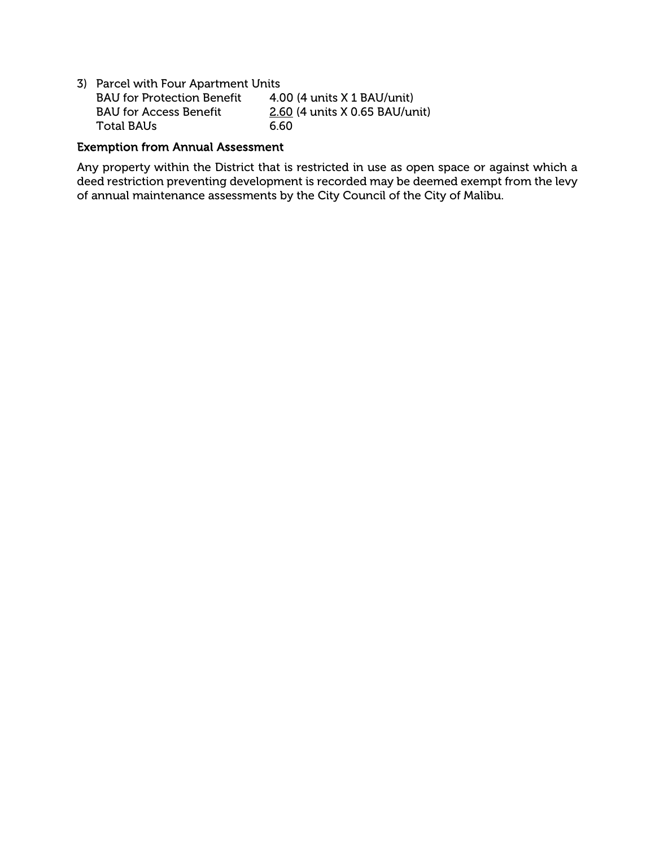| 3) Parcel with Four Apartment Units |                                 |  |  |  |  |  |
|-------------------------------------|---------------------------------|--|--|--|--|--|
| <b>BAU</b> for Protection Benefit   | $4.00$ (4 units $X$ 1 BAU/unit) |  |  |  |  |  |
| <b>BAU for Access Benefit</b>       | 2.60 (4 units X 0.65 BAU/unit)  |  |  |  |  |  |
| Total BAUs                          | 6.60                            |  |  |  |  |  |

#### **Exemption from Annual Assessment**

Any property within the District that is restricted in use as open space or against which a deed restriction preventing development is recorded may be deemed exempt from the levy of annual maintenance assessments by the City Council of the City of Malibu.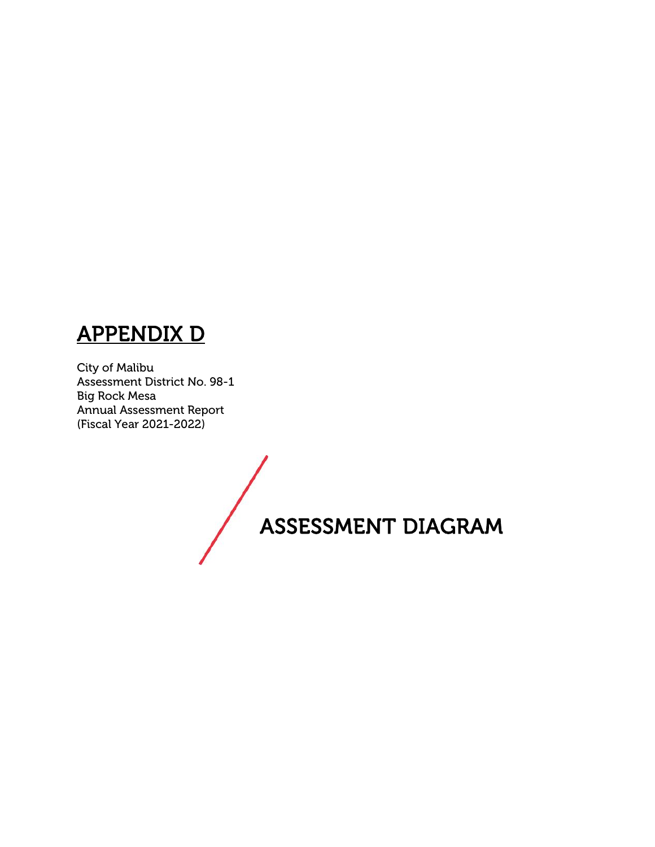## **APPENDIX D**

City of Malibu Assessment District No. 98-1 Big Rock Mesa Annual Assessment Report (Fiscal Year 2021-2022)

**ASSESSMENT DIAGRAM**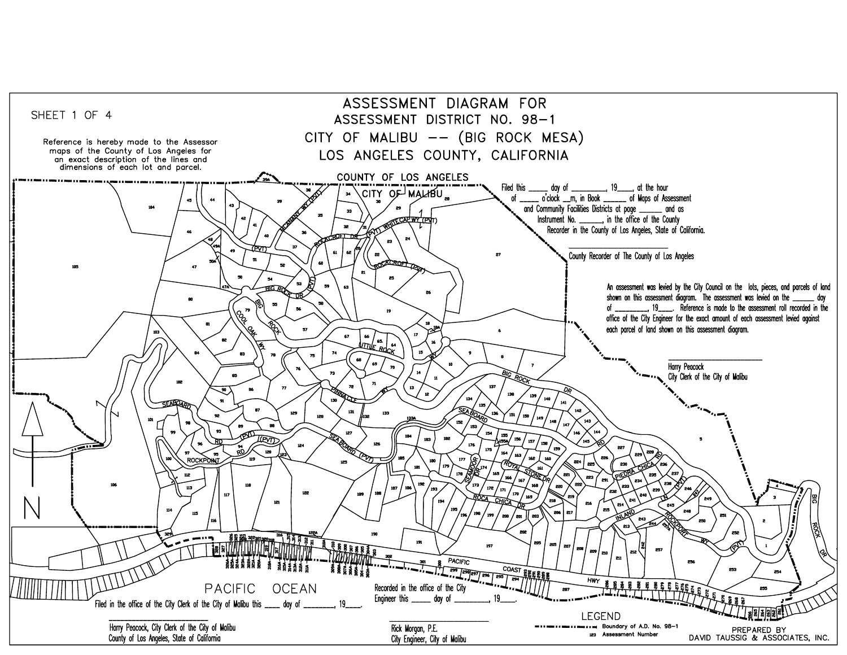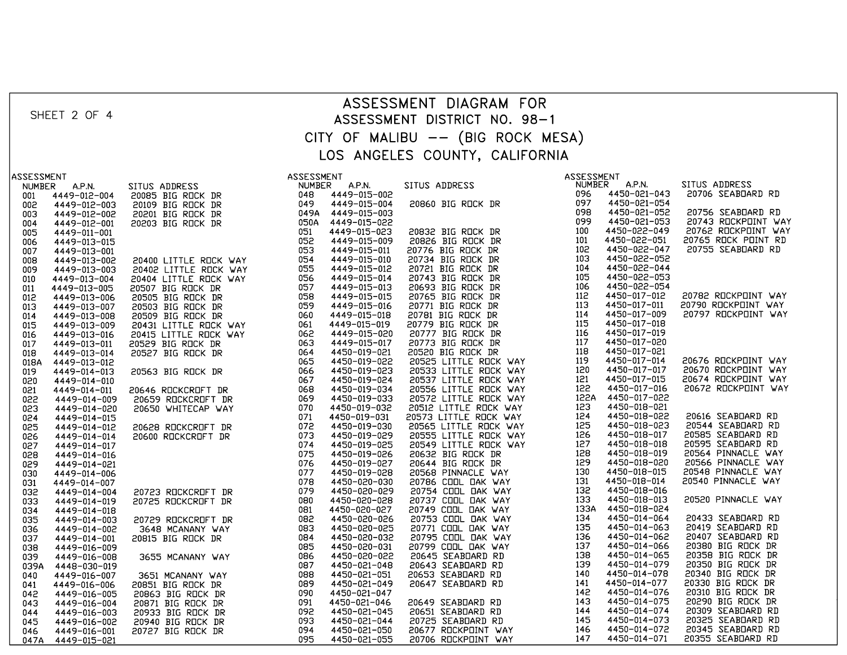| ASSESSMENT DIAGRAM FOR<br>SHEET 2 OF 4<br>ASSESSMENT DISTRICT NO. 98-1<br>CITY OF MALIBU -- (BIG ROCK MESA)                                                                                                                                                                                                                                                                                                                                                                                                                                         |
|-----------------------------------------------------------------------------------------------------------------------------------------------------------------------------------------------------------------------------------------------------------------------------------------------------------------------------------------------------------------------------------------------------------------------------------------------------------------------------------------------------------------------------------------------------|
|                                                                                                                                                                                                                                                                                                                                                                                                                                                                                                                                                     |
|                                                                                                                                                                                                                                                                                                                                                                                                                                                                                                                                                     |
|                                                                                                                                                                                                                                                                                                                                                                                                                                                                                                                                                     |
| LOS ANGELES COUNTY, CALIFORNIA                                                                                                                                                                                                                                                                                                                                                                                                                                                                                                                      |
|                                                                                                                                                                                                                                                                                                                                                                                                                                                                                                                                                     |
| ASSESSMENT<br>ASSESSMENT<br>ASSESSMENT                                                                                                                                                                                                                                                                                                                                                                                                                                                                                                              |
| SITUS ADDRESS<br>NUMBER A.P.N.<br>20706 SEABDARD RD                                                                                                                                                                                                                                                                                                                                                                                                                                                                                                 |
| 4449-012-004<br>001<br>4449-012-003                                                                                                                                                                                                                                                                                                                                                                                                                                                                                                                 |
| 002<br>20756 SEABDARD RD<br>4449-012-002<br>003                                                                                                                                                                                                                                                                                                                                                                                                                                                                                                     |
| 20743 ROCKPOINT WAY<br>4449-012-001<br>004                                                                                                                                                                                                                                                                                                                                                                                                                                                                                                          |
| 20762 ROCKPOINT WAY<br>4449-011-001<br>005                                                                                                                                                                                                                                                                                                                                                                                                                                                                                                          |
| 20765 ROCK POINT RD<br>4449-013-015<br>006<br>20755 SEABDARD RD                                                                                                                                                                                                                                                                                                                                                                                                                                                                                     |
| 4449-013-001<br>007<br>4449-013-002<br>008                                                                                                                                                                                                                                                                                                                                                                                                                                                                                                          |
| 4449-013-003<br>009                                                                                                                                                                                                                                                                                                                                                                                                                                                                                                                                 |
| 4449-013-004<br>010                                                                                                                                                                                                                                                                                                                                                                                                                                                                                                                                 |
| 4449-013-005<br>011                                                                                                                                                                                                                                                                                                                                                                                                                                                                                                                                 |
| 20782 ROCKPOINT WAY<br>$4449-013-005$ $4449-013-006$ $4449-013-008$ $4449-013-019$ $4449-013-016$ $4449-013-011$ $4449-013-011$<br>012<br>20790 ROCKPOINT WAY                                                                                                                                                                                                                                                                                                                                                                                       |
| 013<br>20797 ROCKPOINT WAY<br>014                                                                                                                                                                                                                                                                                                                                                                                                                                                                                                                   |
| 015                                                                                                                                                                                                                                                                                                                                                                                                                                                                                                                                                 |
| 016                                                                                                                                                                                                                                                                                                                                                                                                                                                                                                                                                 |
| 017                                                                                                                                                                                                                                                                                                                                                                                                                                                                                                                                                 |
| 4449-013-014<br>018<br>20676 ROCKPOINT WAY                                                                                                                                                                                                                                                                                                                                                                                                                                                                                                          |
| 4449-013-012<br>018A<br>20670 ROCKPOINT WAY<br>4449-014-013<br>019                                                                                                                                                                                                                                                                                                                                                                                                                                                                                  |
| 20674 ROCKPOINT WAY<br>4449-014-010<br>020                                                                                                                                                                                                                                                                                                                                                                                                                                                                                                          |
| 20672 ROCKPOINT WAY<br>021<br>4449-014-011                                                                                                                                                                                                                                                                                                                                                                                                                                                                                                          |
| 4449-014-009<br>022                                                                                                                                                                                                                                                                                                                                                                                                                                                                                                                                 |
| 4449-014-020<br>023<br>20616 SEABDARD RD                                                                                                                                                                                                                                                                                                                                                                                                                                                                                                            |
| 024<br>4449-014-015<br>20544 SEABDARD RD<br>025<br>4449-014-012                                                                                                                                                                                                                                                                                                                                                                                                                                                                                     |
| 20585 SEABDARD RD<br>4449-014-014<br>026                                                                                                                                                                                                                                                                                                                                                                                                                                                                                                            |
| 20595 SEABDARD RD<br>027<br>4449-014-017                                                                                                                                                                                                                                                                                                                                                                                                                                                                                                            |
| 20564 PINNACLE WAY<br>028<br>4449-014-016<br>20566 PINNACLE WAY                                                                                                                                                                                                                                                                                                                                                                                                                                                                                     |
| 029<br>4449-014-021<br>20548 PINNACLE WAY                                                                                                                                                                                                                                                                                                                                                                                                                                                                                                           |
| 4449-014-006<br>030<br>20540 PINNACLE WAY<br>031<br>4449-014-007                                                                                                                                                                                                                                                                                                                                                                                                                                                                                    |
| 032<br>4449-014-004                                                                                                                                                                                                                                                                                                                                                                                                                                                                                                                                 |
| 20520 PINNACLE WAY<br>033<br>4449-014-019                                                                                                                                                                                                                                                                                                                                                                                                                                                                                                           |
| 034<br>4449-014-018                                                                                                                                                                                                                                                                                                                                                                                                                                                                                                                                 |
| 20433 SEABDARD RD<br>4449-014-003<br>035<br>20419 SEABDARD RD<br>036<br>4449-014-002                                                                                                                                                                                                                                                                                                                                                                                                                                                                |
| 20407 SEABDARD RD<br>037<br>4449-014-001                                                                                                                                                                                                                                                                                                                                                                                                                                                                                                            |
| 20380 BIG ROCK DR<br>038<br>4449-016-009                                                                                                                                                                                                                                                                                                                                                                                                                                                                                                            |
| 20358 BIG ROCK DR<br>4449-016-008<br>039                                                                                                                                                                                                                                                                                                                                                                                                                                                                                                            |
| 20350 BIG ROCK DR<br>039A<br>4448-030-019<br>20340 BIG ROCK DR                                                                                                                                                                                                                                                                                                                                                                                                                                                                                      |
| 4449-016-007<br>040<br>20330 BIG ROCK DR<br>4449-016-006<br>041                                                                                                                                                                                                                                                                                                                                                                                                                                                                                     |
| 20310 BIG ROCK DR<br>4449-016-005<br>042                                                                                                                                                                                                                                                                                                                                                                                                                                                                                                            |
| 20290 BIG ROCK DR<br>4449-016-004<br>043                                                                                                                                                                                                                                                                                                                                                                                                                                                                                                            |
| 20309 SEABDARD RD<br>4449-016-003<br>4449-016-002<br>044                                                                                                                                                                                                                                                                                                                                                                                                                                                                                            |
| 20325 SEABDARD RD<br>045<br>20345 SEABDARD RD<br>4449-016-001                                                                                                                                                                                                                                                                                                                                                                                                                                                                                       |
| SITUS ADDRESS<br>LUS ANCELES<br>2008 BIG ROCK DR<br>2009 BIG ROCK DR<br>2009 BIG ROCK DR<br>2009 BIG ROCK DR<br>2009 BIG ROCK DR<br>30410 LITTLE ROCK<br>2019 BIG ROCK DR<br>3050 BIG ROCK DR<br>20402 LITTLE ROCK<br>2019 BIG ROCK DR<br>2019 BIG ROC<br>COUNTIFICATION AND MELLIP CONTROL AND MANUFACTURE SECTION AND MANUFACTURE 2005<br>20080 BIG RICK IR (1998) 4450-022-043<br>20080 BIG RICK IR (1998) 4450-022-043<br>20082 BIG RICK IR (1998) 4450-022-054<br>20092 BIG RICK IR (1998)<br>046<br>20355 SEABDARD RD<br>4449-015-021<br>047A |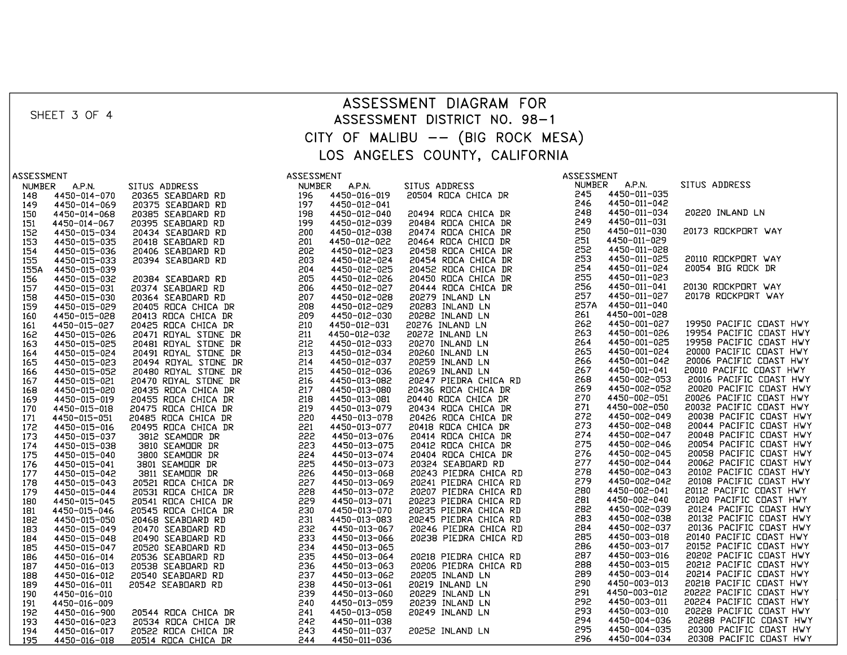|                                                                                                                                                                                         |                              |  |  | ASSESSMENT DIAGRAM FOR            |  |  |                                                                                                          |  |
|-----------------------------------------------------------------------------------------------------------------------------------------------------------------------------------------|------------------------------|--|--|-----------------------------------|--|--|----------------------------------------------------------------------------------------------------------|--|
| SHEET 3 OF 4                                                                                                                                                                            |                              |  |  |                                   |  |  |                                                                                                          |  |
|                                                                                                                                                                                         | ASSESSMENT DISTRICT NO. 98-1 |  |  |                                   |  |  |                                                                                                          |  |
|                                                                                                                                                                                         |                              |  |  | CITY OF MALIBU -- (BIG ROCK MESA) |  |  |                                                                                                          |  |
|                                                                                                                                                                                         |                              |  |  |                                   |  |  |                                                                                                          |  |
|                                                                                                                                                                                         |                              |  |  | LOS ANGELES COUNTY, CALIFORNIA    |  |  |                                                                                                          |  |
|                                                                                                                                                                                         |                              |  |  |                                   |  |  |                                                                                                          |  |
| ASSESSMENT                                                                                                                                                                              |                              |  |  |                                   |  |  | SITUS ADDRESS                                                                                            |  |
| <b>A.P.N.</b><br><b>NUMBER</b>                                                                                                                                                          |                              |  |  |                                   |  |  |                                                                                                          |  |
| 4450-014-070<br>148<br>4450-014-069<br>149                                                                                                                                              |                              |  |  |                                   |  |  |                                                                                                          |  |
| 4450-014-068<br>150                                                                                                                                                                     |                              |  |  |                                   |  |  | 20220 INLAND LN                                                                                          |  |
| 4450-014-067<br>151                                                                                                                                                                     |                              |  |  |                                   |  |  |                                                                                                          |  |
| $4450-015-034$<br>$4450-015-035$<br>$4450-015-036$<br>$4450-015-039$<br>152                                                                                                             |                              |  |  |                                   |  |  | 20173 ROCKPORT WAY                                                                                       |  |
| 153                                                                                                                                                                                     |                              |  |  |                                   |  |  |                                                                                                          |  |
| 154                                                                                                                                                                                     |                              |  |  |                                   |  |  |                                                                                                          |  |
| 155                                                                                                                                                                                     |                              |  |  |                                   |  |  | 20110 ROCKPORT WAY                                                                                       |  |
| 4450-015-039<br>4450-015-032<br>155A                                                                                                                                                    |                              |  |  |                                   |  |  | 20054 BIG ROCK DR                                                                                        |  |
| 156<br>157                                                                                                                                                                              |                              |  |  |                                   |  |  | 20130 ROCKPORT WAY                                                                                       |  |
| $4450 - 015 - 031$<br>$4450 - 015 - 030$<br>$4450 - 015 - 029$<br>$4450 - 015 - 028$<br>158                                                                                             |                              |  |  |                                   |  |  | 20178 ROCKPORT WAY                                                                                       |  |
| 159                                                                                                                                                                                     |                              |  |  |                                   |  |  |                                                                                                          |  |
| 160                                                                                                                                                                                     |                              |  |  |                                   |  |  |                                                                                                          |  |
| 4450-015-027<br>161                                                                                                                                                                     |                              |  |  |                                   |  |  | 19950 PACIFIC COAST HWY                                                                                  |  |
| 4450-015-026<br>4450-015-025<br>162                                                                                                                                                     |                              |  |  |                                   |  |  | 19954 PACIFIC COAST HWY                                                                                  |  |
| 163                                                                                                                                                                                     |                              |  |  |                                   |  |  | 19958 PACIFIC COAST HWY                                                                                  |  |
| 164                                                                                                                                                                                     |                              |  |  |                                   |  |  | 20000 PACIFIC COAST HWY                                                                                  |  |
| 165                                                                                                                                                                                     |                              |  |  |                                   |  |  | 20006 PACIFIC COAST HWY                                                                                  |  |
| $4450-015-023$ $4450-015-024$ $4450-015-032$ $4450-015-021$ $4450-015-019$ $4450-015-019$ $4450-015-019$ $4450-015-016$<br>166<br>167                                                   |                              |  |  |                                   |  |  | 20010 PACIFIC COAST HWY<br>20016 PACIFIC COAST HWY                                                       |  |
| 168                                                                                                                                                                                     |                              |  |  |                                   |  |  |                                                                                                          |  |
| 169                                                                                                                                                                                     |                              |  |  |                                   |  |  | 20020 PACIFIC COAST HWY<br>20026 PACIFIC COAST HWY                                                       |  |
| 170                                                                                                                                                                                     |                              |  |  |                                   |  |  | 20032 PACIFIC COAST HWY<br>20038 PACIFIC COAST HWY                                                       |  |
| 171                                                                                                                                                                                     |                              |  |  |                                   |  |  |                                                                                                          |  |
| $4450-015-051$<br>$4450-015-016$<br>$4450-015-037$<br>$4450-015-040$<br>$4450-015-041$<br>$4450-015-042$<br>$4450-015-043$<br>$4450-015-044$<br>$4450-015-044$<br>$4450-015-046$<br>172 |                              |  |  |                                   |  |  | 20044 PACIFIC COAST HWY                                                                                  |  |
| 173                                                                                                                                                                                     |                              |  |  |                                   |  |  |                                                                                                          |  |
| 174                                                                                                                                                                                     |                              |  |  |                                   |  |  | 20054 PACIFIC COAST HWY<br>20058 PACIFIC COAST HWY                                                       |  |
| 175<br>176                                                                                                                                                                              |                              |  |  |                                   |  |  |                                                                                                          |  |
| 177                                                                                                                                                                                     |                              |  |  |                                   |  |  | 20062 PACIFIC COAST HWY<br>20102 PACIFIC COAST HWY                                                       |  |
| 178                                                                                                                                                                                     |                              |  |  |                                   |  |  | 20108 PACIFIC COAST HWY                                                                                  |  |
| 179                                                                                                                                                                                     |                              |  |  |                                   |  |  | 20112 PACIFIC COAST HWY                                                                                  |  |
| 180                                                                                                                                                                                     |                              |  |  |                                   |  |  | 20120 PACIFIC COAST HWY                                                                                  |  |
| 181                                                                                                                                                                                     |                              |  |  |                                   |  |  | 20124 PACIFIC COAST HWY                                                                                  |  |
| 4450-015-046<br>4450-015-050<br>4450-015-049<br>182                                                                                                                                     |                              |  |  |                                   |  |  | 20132 PACIFIC COAST HWY                                                                                  |  |
| 183                                                                                                                                                                                     |                              |  |  |                                   |  |  | 20136 PACIFIC COAST HWY                                                                                  |  |
| 4450-015-048<br>184                                                                                                                                                                     |                              |  |  |                                   |  |  | 20140 PACIFIC CDAST HWY<br>20152 PACIFIC CDAST HWY<br>20202 PACIFIC CDAST HWY                            |  |
| 185                                                                                                                                                                                     |                              |  |  |                                   |  |  |                                                                                                          |  |
| $4450 - 015 - 047$<br>$4450 - 016 - 014$<br>$4450 - 016 - 013$<br>186<br>187                                                                                                            |                              |  |  |                                   |  |  |                                                                                                          |  |
| 188                                                                                                                                                                                     |                              |  |  |                                   |  |  | 20212 PACIFIC COAST HWY<br>20214 PACIFIC COAST HWY<br>20218 PACIFIC COAST HWY<br>20222 PACIFIC COAST HWY |  |
| $4450 - 016 - 012$<br>$4450 - 016 - 011$<br>189                                                                                                                                         |                              |  |  |                                   |  |  |                                                                                                          |  |
| 4450-016-010<br>190                                                                                                                                                                     |                              |  |  |                                   |  |  |                                                                                                          |  |
| 191<br>4450-016-009                                                                                                                                                                     |                              |  |  |                                   |  |  | 20224 PACIFIC COAST HWY                                                                                  |  |
| 192<br>4450-016-900<br>4450-016-023                                                                                                                                                     |                              |  |  |                                   |  |  |                                                                                                          |  |
| 193                                                                                                                                                                                     |                              |  |  |                                   |  |  | 20288 PACIFIC COAST HWY                                                                                  |  |
| 4450-016-017<br>194                                                                                                                                                                     |                              |  |  |                                   |  |  | 20308 PACIFIC COAST HWY                                                                                  |  |
| 195<br>4450-016-018                                                                                                                                                                     |                              |  |  |                                   |  |  |                                                                                                          |  |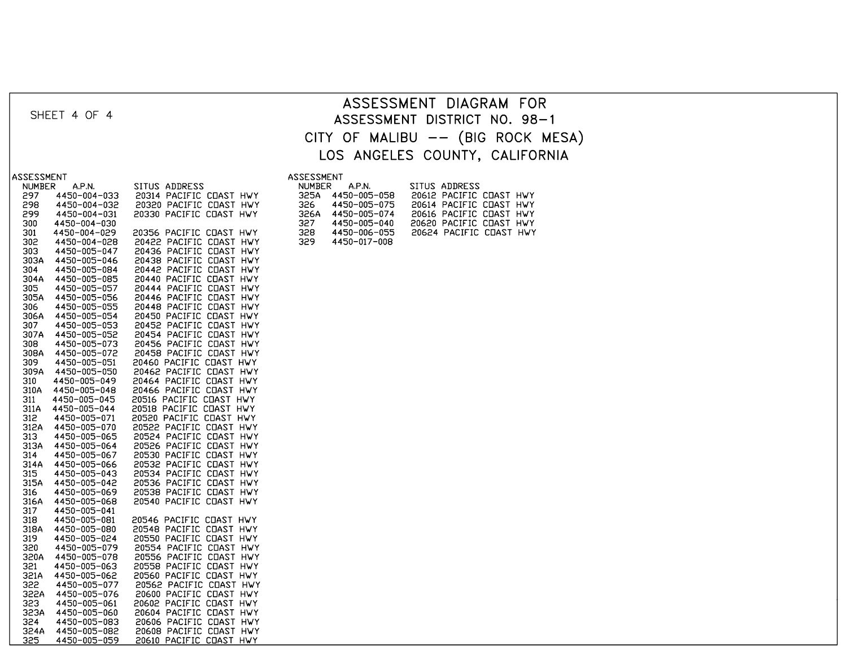|                                             |                                                    |                                          | ASSESSMENT DIAGRAM FOR                             |  |  |  |  |  |
|---------------------------------------------|----------------------------------------------------|------------------------------------------|----------------------------------------------------|--|--|--|--|--|
| SHEET 4 OF 4                                | ASSESSMENT DISTRICT NO. 98-1                       |                                          |                                                    |  |  |  |  |  |
|                                             | CITY OF MALIBU -- (BIG ROCK MESA)                  |                                          |                                                    |  |  |  |  |  |
|                                             |                                                    |                                          |                                                    |  |  |  |  |  |
|                                             | LOS ANGELES COUNTY, CALIFORNIA                     |                                          |                                                    |  |  |  |  |  |
| ASSESSMENT                                  |                                                    | <b>ASSESSMENT</b>                        |                                                    |  |  |  |  |  |
| A.P.N.<br><b>NUMBER</b>                     | SITUS ADDRESS                                      | A.P.N.<br>NUMBER                         | SITUS ADDRESS                                      |  |  |  |  |  |
| 297<br>4450-004-033                         | 20314 PACIFIC COAST HWY                            | 325A<br>4450-005-058                     | 20612 PACIFIC COAST HWY                            |  |  |  |  |  |
| 298<br>4450-004-032<br>299<br>4450-004-031  | 20320 PACIFIC COAST HWY<br>20330 PACIFIC COAST HWY | 326<br>4450-005-075<br>326A 4450-005-074 | 20614 PACIFIC COAST HWY<br>20616 PACIFIC COAST HWY |  |  |  |  |  |
| 300<br>4450-004-030                         |                                                    | 327<br>4450-005-040                      | 20620 PACIFIC COAST HWY                            |  |  |  |  |  |
| 4450-004-029<br>301                         | 20356 PACIFIC COAST HWY                            | 328<br>4450-006-055                      | 20624 PACIFIC COAST HWY                            |  |  |  |  |  |
| 302<br>4450-004-028<br>4450-005-047<br>303  | 20422 PACIFIC COAST HWY<br>20436 PACIFIC COAST HWY | 329<br>4450-017-008                      |                                                    |  |  |  |  |  |
| 303A<br>4450-005-046                        | 20438 PACIFIC COAST HWY                            |                                          |                                                    |  |  |  |  |  |
| 304<br>4450-005-084                         | 20442 PACIFIC COAST HWY                            |                                          |                                                    |  |  |  |  |  |
| 304A<br>4450-005-085<br>4450-005-057<br>305 | 20440 PACIFIC COAST HWY<br>20444 PACIFIC COAST HWY |                                          |                                                    |  |  |  |  |  |
| 4450-005-056<br>305A                        | 20446 PACIFIC COAST HWY                            |                                          |                                                    |  |  |  |  |  |
| 306<br>4450-005-055<br>306A                 | 20448 PACIFIC COAST HWY                            |                                          |                                                    |  |  |  |  |  |
| 4450-005-054<br>307<br>4450-005-053         | 20450 PACIFIC COAST HWY<br>20452 PACIFIC COAST HWY |                                          |                                                    |  |  |  |  |  |
| 4450-005-052<br>307A                        | 20454 PACIFIC COAST HWY                            |                                          |                                                    |  |  |  |  |  |
| 4450-005-073<br>308<br>4450-005-072<br>308A | 20456 PACIFIC COAST HWY<br>20458 PACIFIC COAST HWY |                                          |                                                    |  |  |  |  |  |
| 309<br>4450-005-051                         | 20460 PACIFIC COAST HWY                            |                                          |                                                    |  |  |  |  |  |
| 4450-005-050<br>309A                        | 20462 PACIFIC COAST HWY                            |                                          |                                                    |  |  |  |  |  |
| 4450-005-049<br>310<br>310A<br>4450-005-048 | 20464 PACIFIC COAST HWY<br>20466 PACIFIC COAST HWY |                                          |                                                    |  |  |  |  |  |
| 311<br>4450-005-045                         | 20516 PACIFIC COAST HWY                            |                                          |                                                    |  |  |  |  |  |
| 4450-005-044<br>311A                        | 20518 PACIFIC COAST HWY                            |                                          |                                                    |  |  |  |  |  |
| 4450-005-071<br>312<br>312A<br>4450-005-070 | 20520 PACIFIC COAST HWY<br>20522 PACIFIC COAST HWY |                                          |                                                    |  |  |  |  |  |
| 313<br>4450-005-065                         | 20524 PACIFIC COAST HWY                            |                                          |                                                    |  |  |  |  |  |
| 4450-005-064<br>313A                        | 20526 PACIFIC COAST HWY                            |                                          |                                                    |  |  |  |  |  |
| 4450-005-067<br>314<br>4450-005-066<br>314A | 20530 PACIFIC COAST HWY<br>20532 PACIFIC COAST HWY |                                          |                                                    |  |  |  |  |  |
| 315<br>4450-005-043                         | 20534 PACIFIC COAST HWY                            |                                          |                                                    |  |  |  |  |  |
| 315A<br>4450-005-042                        | 20536 PACIFIC COAST HWY                            |                                          |                                                    |  |  |  |  |  |
| 4450-005-069<br>316<br>316A<br>4450-005-068 | 20538 PACIFIC COAST HWY<br>20540 PACIFIC COAST HWY |                                          |                                                    |  |  |  |  |  |
| 4450-005-041<br>317                         |                                                    |                                          |                                                    |  |  |  |  |  |
| 318<br>4450-005-081<br>318A<br>4450-005-080 | 20546 PACIFIC COAST HWY<br>20548 PACIFIC COAST HWY |                                          |                                                    |  |  |  |  |  |
| 319<br>4450-005-024                         | 20550 PACIFIC COAST HWY                            |                                          |                                                    |  |  |  |  |  |
| 320<br>4450-005-079                         | 20554 PACIFIC COAST HWY                            |                                          |                                                    |  |  |  |  |  |
| 320A<br>4450-005-078<br>321<br>4450-005-063 | 20556 PACIFIC COAST HWY<br>20558 PACIFIC COAST HWY |                                          |                                                    |  |  |  |  |  |
| 321A<br>4450-005-062                        | 20560 PACIFIC COAST HWY                            |                                          |                                                    |  |  |  |  |  |
| 4450-005-077<br>322                         | 20562 PACIFIC COAST HWY                            |                                          |                                                    |  |  |  |  |  |
| 322A<br>4450-005-076<br>323<br>4450-005-061 | 20600 PACIFIC COAST HWY<br>20602 PACIFIC COAST HWY |                                          |                                                    |  |  |  |  |  |
| 4450-005-060<br>323A                        | 20604 PACIFIC COAST HWY                            |                                          |                                                    |  |  |  |  |  |
| 324<br>4450-005-083                         | 20606 PACIFIC COAST HWY                            |                                          |                                                    |  |  |  |  |  |
| 324A<br>4450-005-082<br>325<br>4450-005-059 | 20608 PACIFIC COAST HWY<br>20610 PACIFIC COAST HWY |                                          |                                                    |  |  |  |  |  |
|                                             |                                                    |                                          |                                                    |  |  |  |  |  |